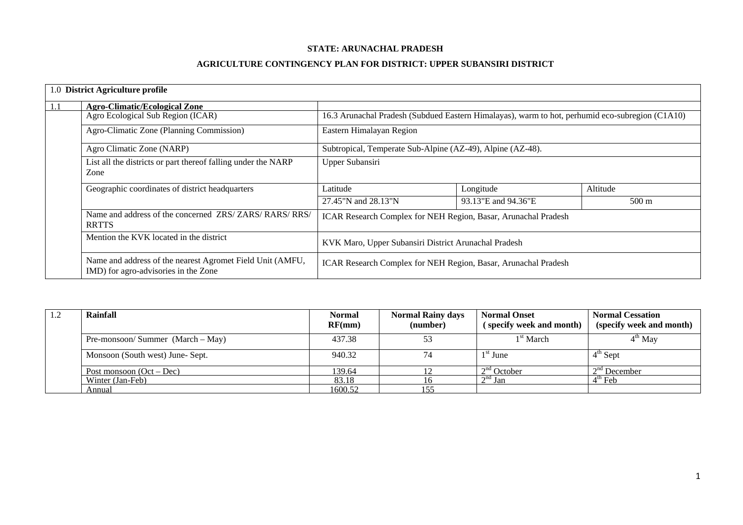#### **STATE: ARUNACHAL PRADESH**

### **AGRICULTURE CONTINGENCY PLAN FOR DISTRICT: UPPER SUBANSIRI DISTRICT**

|     | 1.0 District Agriculture profile                                                                  |                                                                                                 |                     |                 |  |  |
|-----|---------------------------------------------------------------------------------------------------|-------------------------------------------------------------------------------------------------|---------------------|-----------------|--|--|
| 1.1 | <b>Agro-Climatic/Ecological Zone</b>                                                              |                                                                                                 |                     |                 |  |  |
|     | Agro Ecological Sub Region (ICAR)                                                                 | 16.3 Arunachal Pradesh (Subdued Eastern Himalayas), warm to hot, perhumid eco-subregion (C1A10) |                     |                 |  |  |
|     | Agro-Climatic Zone (Planning Commission)                                                          | Eastern Himalayan Region                                                                        |                     |                 |  |  |
|     | Agro Climatic Zone (NARP)                                                                         | Subtropical, Temperate Sub-Alpine (AZ-49), Alpine (AZ-48).                                      |                     |                 |  |  |
|     | List all the districts or part thereof falling under the NARP<br>Zone                             | Upper Subansiri                                                                                 |                     |                 |  |  |
|     | Geographic coordinates of district headquarters                                                   | Latitude                                                                                        | Longitude           | Altitude        |  |  |
|     |                                                                                                   | 27.45"N and 28.13"N                                                                             | 93.13"E and 94.36"E | $500 \text{ m}$ |  |  |
|     | Name and address of the concerned ZRS/ZARS/RARS/RRS/<br><b>RRTTS</b>                              | ICAR Research Complex for NEH Region, Basar, Arunachal Pradesh                                  |                     |                 |  |  |
|     | Mention the KVK located in the district                                                           | KVK Maro, Upper Subansiri District Arunachal Pradesh                                            |                     |                 |  |  |
|     | Name and address of the nearest Agromet Field Unit (AMFU,<br>IMD) for agro-advisories in the Zone | ICAR Research Complex for NEH Region, Basar, Arunachal Pradesh                                  |                     |                 |  |  |

| $\cdot$ | Rainfall                         |         | <b>Normal</b><br><b>Normal Onset</b><br><b>Normal Rainy days</b><br>(number)<br>RF(mm)<br>(specify week and month) |                       | <b>Normal Cessation</b><br>(specify week and month) |
|---------|----------------------------------|---------|--------------------------------------------------------------------------------------------------------------------|-----------------------|-----------------------------------------------------|
|         | Pre-monsoon/Summer (March – May) | 437.38  | 53                                                                                                                 | 1 <sup>st</sup> March | $4th$ May                                           |
|         | Monsoon (South west) June-Sept.  | 940.32  | 74                                                                                                                 | $1st$ June            | $4^{\text{th}}$ Sept                                |
|         | Post monsoon $(Oct - Dec)$       | 139.64  |                                                                                                                    | $2nd$ October         | $2nd$ December                                      |
|         | Winter (Jan-Feb)                 | 83.18   |                                                                                                                    | $2nd$ Jan             | $4^{\text{m}}$ Feb                                  |
|         | Annual                           | 1600.52 |                                                                                                                    |                       |                                                     |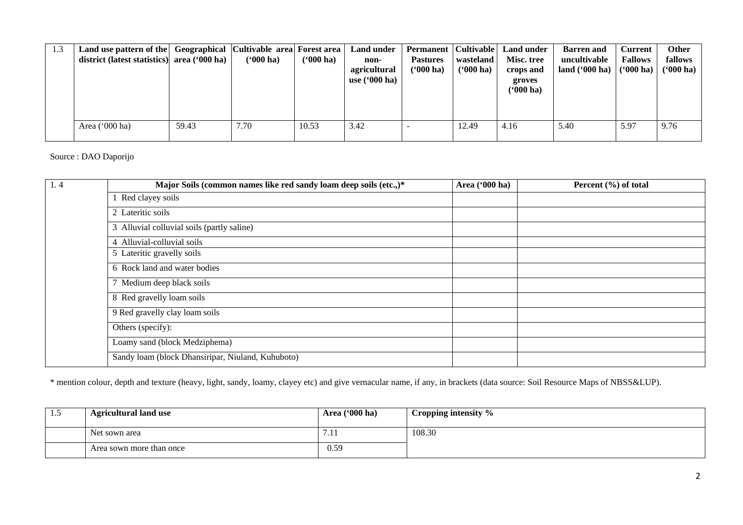| 1.3 | Land use pattern of the<br>district (latest statistics) area ('000 ha) |       | Geographical Cultivable area Forest area<br>$(900)$ ha) | ( <b>'000 ha)</b> | Land under<br>non-<br>agricultural<br>use $(600 \text{ ha})$ | <b>Permanent</b>   Cultivable  <br><b>Pastures</b><br>( <b>'000 ha)</b> | wasteland<br>$(900 \text{ ha})$ | <b>Land under</b><br>Misc. tree<br>crops and<br>groves<br>$(900)$ ha) | <b>Barren</b> and<br>uncultivable<br>land $(900)$ ha) | <b>Current</b><br><b>Fallows</b><br>$(900 \text{ ha})$ | <b>Other</b><br>fallows<br>( <b>'000 ha</b> ) |
|-----|------------------------------------------------------------------------|-------|---------------------------------------------------------|-------------------|--------------------------------------------------------------|-------------------------------------------------------------------------|---------------------------------|-----------------------------------------------------------------------|-------------------------------------------------------|--------------------------------------------------------|-----------------------------------------------|
|     | Area $('000 ha)$                                                       | 59.43 | 7.70                                                    | 10.53             | 3.42                                                         |                                                                         | 12.49                           | 4.16                                                                  | 5.40                                                  | 5.97                                                   | 9.76                                          |

Source : DAO Daporijo

| 1.4 | Major Soils (common names like red sandy loam deep soils (etc.,)* | Area ('000 ha) | Percent $(\% )$ of total |
|-----|-------------------------------------------------------------------|----------------|--------------------------|
|     | Red clayey soils                                                  |                |                          |
|     | 2 Lateritic soils                                                 |                |                          |
|     | 3 Alluvial colluvial soils (partly saline)                        |                |                          |
|     | 4 Alluvial-colluvial soils                                        |                |                          |
|     | 5 Lateritic gravelly soils                                        |                |                          |
|     | 6 Rock land and water bodies                                      |                |                          |
|     | Medium deep black soils                                           |                |                          |
|     | 8 Red gravelly loam soils                                         |                |                          |
|     | 9 Red gravelly clay loam soils                                    |                |                          |
|     | Others (specify):                                                 |                |                          |
|     | Loamy sand (block Medziphema)                                     |                |                          |
|     | Sandy loam (block Dhansiripar, Niuland, Kuhuboto)                 |                |                          |

\* mention colour, depth and texture (heavy, light, sandy, loamy, clayey etc) and give vernacular name, if any, in brackets (data source: Soil Resource Maps of NBSS&LUP).

| 1.5 | <b>Agricultural land use</b> | Area $(900 \text{ ha})$ | Cropping intensity % |
|-----|------------------------------|-------------------------|----------------------|
|     | Net sown area                | 7. L I                  | 108.30               |
|     | Area sown more than once     | 0.59                    |                      |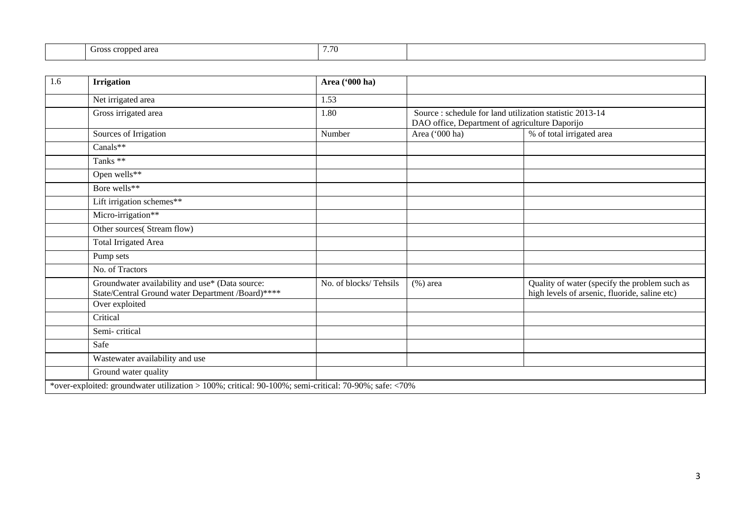| $ -$<br>70 |                           |            |  |
|------------|---------------------------|------------|--|
|            | ed area<br>eroppe<br>CHO. | <u>. v</u> |  |

| 1.6 | <b>Irrigation</b>                                                                                     | Area ('000 ha)        |                                                                                                            |                                                                                                |
|-----|-------------------------------------------------------------------------------------------------------|-----------------------|------------------------------------------------------------------------------------------------------------|------------------------------------------------------------------------------------------------|
|     | Net irrigated area                                                                                    | 1.53                  |                                                                                                            |                                                                                                |
|     | Gross irrigated area                                                                                  | 1.80                  | Source : schedule for land utilization statistic 2013-14<br>DAO office, Department of agriculture Daporijo |                                                                                                |
|     | Sources of Irrigation                                                                                 | Number                | Area ('000 ha)                                                                                             | % of total irrigated area                                                                      |
|     | Canals**                                                                                              |                       |                                                                                                            |                                                                                                |
|     | Tanks **                                                                                              |                       |                                                                                                            |                                                                                                |
|     | Open wells**                                                                                          |                       |                                                                                                            |                                                                                                |
|     | Bore wells**                                                                                          |                       |                                                                                                            |                                                                                                |
|     | Lift irrigation schemes**                                                                             |                       |                                                                                                            |                                                                                                |
|     | Micro-irrigation**                                                                                    |                       |                                                                                                            |                                                                                                |
|     | Other sources(Stream flow)                                                                            |                       |                                                                                                            |                                                                                                |
|     | <b>Total Irrigated Area</b>                                                                           |                       |                                                                                                            |                                                                                                |
|     | Pump sets                                                                                             |                       |                                                                                                            |                                                                                                |
|     | No. of Tractors                                                                                       |                       |                                                                                                            |                                                                                                |
|     | Groundwater availability and use* (Data source:<br>State/Central Ground water Department /Board)****  | No. of blocks/Tehsils | $%$ ) area                                                                                                 | Quality of water (specify the problem such as<br>high levels of arsenic, fluoride, saline etc) |
|     | Over exploited                                                                                        |                       |                                                                                                            |                                                                                                |
|     | Critical                                                                                              |                       |                                                                                                            |                                                                                                |
|     | Semi-critical                                                                                         |                       |                                                                                                            |                                                                                                |
|     | Safe                                                                                                  |                       |                                                                                                            |                                                                                                |
|     | Wastewater availability and use                                                                       |                       |                                                                                                            |                                                                                                |
|     | Ground water quality                                                                                  |                       |                                                                                                            |                                                                                                |
|     | *over-exploited: groundwater utilization > 100%; critical: 90-100%; semi-critical: 70-90%; safe: <70% |                       |                                                                                                            |                                                                                                |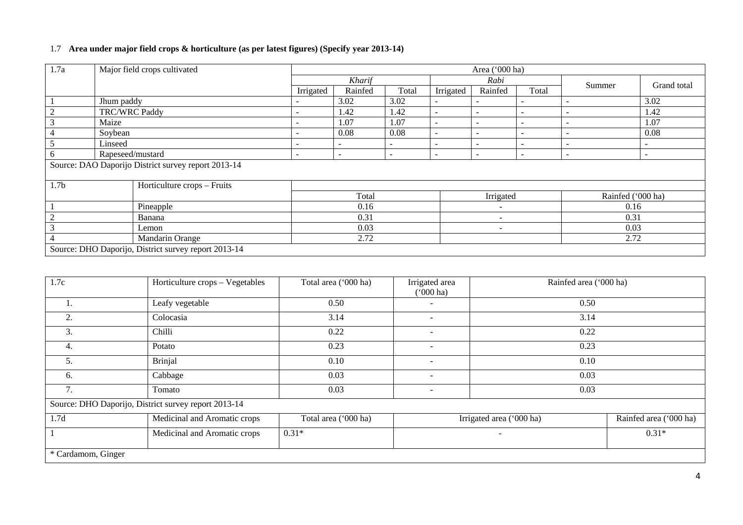# 1.7 **Area under major field crops & horticulture (as per latest figures) (Specify year 2013-14)**

| 1.7a                     | Major field crops cultivated                        |                                                      |                          | Area ('000 ha)           |                          |                          |                          |                          |                          |                          |  |
|--------------------------|-----------------------------------------------------|------------------------------------------------------|--------------------------|--------------------------|--------------------------|--------------------------|--------------------------|--------------------------|--------------------------|--------------------------|--|
|                          |                                                     |                                                      | Kharif                   |                          |                          |                          | Rabi                     |                          |                          | Grand total              |  |
|                          |                                                     |                                                      | Irrigated                | Rainfed                  | Total                    | Irrigated                | Rainfed                  | Total                    | Summer                   |                          |  |
|                          | Jhum paddy                                          |                                                      |                          | 3.02                     | 3.02                     | $\overline{\phantom{a}}$ |                          |                          |                          | 3.02                     |  |
|                          | <b>TRC/WRC Paddy</b>                                |                                                      | $\overline{\phantom{0}}$ | 1.42                     | 1.42                     | $\overline{\phantom{a}}$ |                          | $\overline{\phantom{a}}$ |                          | 1.42                     |  |
|                          | Maize                                               |                                                      |                          | 1.07                     | 1.07                     | $\sim$                   |                          | $\overline{\phantom{a}}$ |                          | 1.07                     |  |
|                          | Soybean                                             |                                                      |                          | 0.08                     | 0.08                     | $\overline{\phantom{a}}$ |                          | $\sim$                   |                          | 0.08                     |  |
|                          | Linseed                                             |                                                      |                          |                          |                          | $\overline{\phantom{a}}$ |                          | $\sim$                   |                          |                          |  |
| 6                        | Rapeseed/mustard                                    |                                                      | $\overline{\phantom{0}}$ | $\overline{\phantom{0}}$ | $\overline{\phantom{0}}$ | $\overline{\phantom{a}}$ |                          | $\overline{\phantom{a}}$ | $\overline{\phantom{0}}$ | $\overline{\phantom{0}}$ |  |
|                          | Source: DAO Daporijo District survey report 2013-14 |                                                      |                          |                          |                          |                          |                          |                          |                          |                          |  |
|                          |                                                     |                                                      |                          |                          |                          |                          |                          |                          |                          |                          |  |
| 1.7 <sub>b</sub>         |                                                     | Horticulture crops – Fruits                          |                          |                          |                          |                          |                          |                          |                          |                          |  |
|                          |                                                     |                                                      | Total                    |                          |                          |                          | Irrigated                |                          |                          | Rainfed ('000 ha)        |  |
|                          |                                                     | Pineapple                                            |                          | 0.16                     |                          |                          | $\overline{\phantom{0}}$ |                          | 0.16                     |                          |  |
| $\overline{2}$<br>Banana |                                                     |                                                      | 0.31                     |                          |                          | $\overline{\phantom{a}}$ |                          | 0.31                     |                          |                          |  |
| 3<br>Lemon               |                                                     | 0.03                                                 |                          |                          | -                        |                          | 0.03                     |                          |                          |                          |  |
| Mandarin Orange          |                                                     | 2.72                                                 |                          |                          |                          |                          | 2.72                     |                          |                          |                          |  |
|                          |                                                     | Source: DHO Daporijo, District survey report 2013-14 |                          |                          |                          |                          |                          |                          |                          |                          |  |

| 1.7c               | Horticulture crops - Vegetables                      | Total area ('000 ha) | Irrigated area<br>$(000 \text{ ha})$ | Rainfed area ('000 ha)   |                        |  |
|--------------------|------------------------------------------------------|----------------------|--------------------------------------|--------------------------|------------------------|--|
|                    | Leafy vegetable                                      | 0.50                 |                                      | 0.50                     |                        |  |
| 2.                 | Colocasia                                            | 3.14                 |                                      | 3.14                     |                        |  |
| 3.                 | Chilli                                               | 0.22                 | $\overline{\phantom{a}}$             | 0.22                     |                        |  |
| 4.                 | Potato                                               | 0.23                 | $\overline{\phantom{m}}$             | 0.23                     |                        |  |
| 5.                 | <b>Brinjal</b>                                       | 0.10                 |                                      | 0.10                     |                        |  |
| 6.                 | Cabbage                                              | 0.03                 |                                      | 0.03                     |                        |  |
| 7.                 | Tomato                                               | 0.03                 | $\overline{\phantom{a}}$             | 0.03                     |                        |  |
|                    | Source: DHO Daporijo, District survey report 2013-14 |                      |                                      |                          |                        |  |
| 1.7d               | Medicinal and Aromatic crops                         | Total area ('000 ha) |                                      | Irrigated area ('000 ha) | Rainfed area ('000 ha) |  |
|                    | Medicinal and Aromatic crops                         | $0.31*$              |                                      | $0.31*$                  |                        |  |
| * Cardamom, Ginger |                                                      |                      |                                      |                          |                        |  |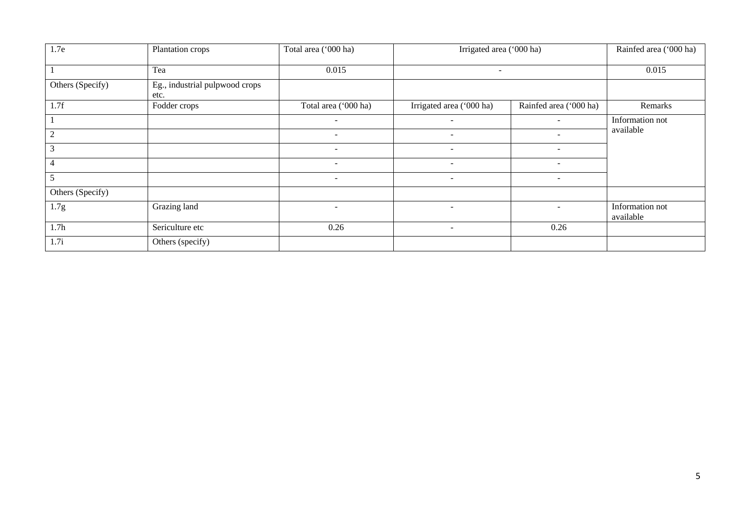| 1.7e             | Plantation crops                       | Total area ('000 ha)     | Irrigated area ('000 ha) |                          | Rainfed area ('000 ha)       |
|------------------|----------------------------------------|--------------------------|--------------------------|--------------------------|------------------------------|
|                  | Tea                                    | 0.015                    | $\overline{\phantom{a}}$ | 0.015                    |                              |
| Others (Specify) | Eg., industrial pulpwood crops<br>etc. |                          |                          |                          |                              |
| 1.7f             | Fodder crops                           | Total area ('000 ha)     | Irrigated area ('000 ha) | Rainfed area ('000 ha)   | Remarks                      |
|                  |                                        | $\sim$                   | $\overline{\phantom{a}}$ | $\sim$                   | Information not              |
| $\overline{2}$   |                                        | $\overline{\phantom{a}}$ |                          |                          | available                    |
| 3                |                                        | $\overline{\phantom{a}}$ | $\overline{\phantom{a}}$ | $\overline{\phantom{a}}$ |                              |
| 4                |                                        | $\overline{\phantom{a}}$ | $\overline{\phantom{a}}$ |                          |                              |
|                  |                                        | $\overline{\phantom{a}}$ | $\overline{\phantom{a}}$ | $\overline{\phantom{a}}$ |                              |
| Others (Specify) |                                        |                          |                          |                          |                              |
| 1.7g             | Grazing land                           | $\overline{\phantom{a}}$ | $\overline{\phantom{a}}$ | $\overline{\phantom{a}}$ | Information not<br>available |
| 1.7h             | Sericulture etc                        | 0.26                     | $\overline{\phantom{a}}$ | 0.26                     |                              |
| 1.7i             | Others (specify)                       |                          |                          |                          |                              |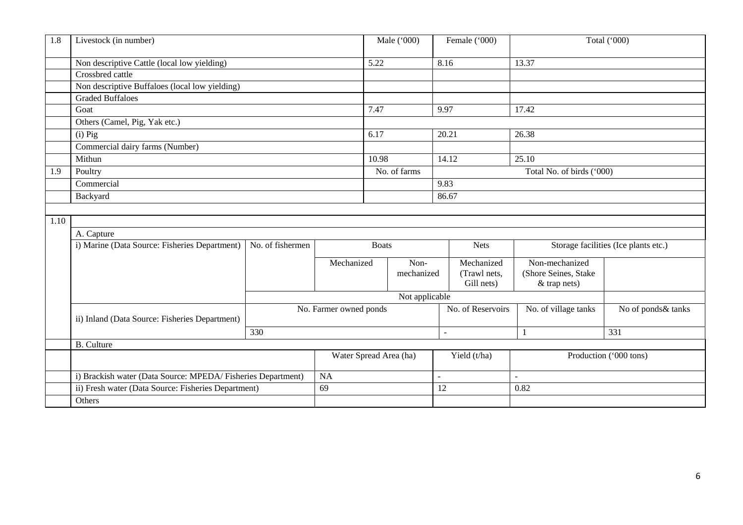| 1.8  | Livestock (in number)                                       |                  |                        | Male ('000)    | Female ('000)             |                                      | Total ('000)           |  |  |
|------|-------------------------------------------------------------|------------------|------------------------|----------------|---------------------------|--------------------------------------|------------------------|--|--|
|      | Non descriptive Cattle (local low yielding)                 |                  | 5.22                   |                | 8.16                      | 13.37                                |                        |  |  |
|      | Crossbred cattle                                            |                  |                        |                |                           |                                      |                        |  |  |
|      | Non descriptive Buffaloes (local low yielding)              |                  |                        |                |                           |                                      |                        |  |  |
|      | <b>Graded Buffaloes</b>                                     |                  |                        |                |                           |                                      |                        |  |  |
|      | Goat                                                        |                  | 7.47                   |                | 9.97                      | 17.42                                |                        |  |  |
|      | Others (Camel, Pig, Yak etc.)                               |                  |                        |                |                           |                                      |                        |  |  |
|      | $(i)$ Pig                                                   |                  | 6.17                   |                | 20.21                     | 26.38                                |                        |  |  |
|      | Commercial dairy farms (Number)                             |                  |                        |                |                           |                                      |                        |  |  |
|      | Mithun                                                      |                  | 10.98                  |                | 14.12                     | 25.10                                |                        |  |  |
| 1.9  | Poultry                                                     |                  | No. of farms           |                | Total No. of birds ('000) |                                      |                        |  |  |
|      | Commercial                                                  |                  |                        |                | 9.83                      |                                      |                        |  |  |
|      | Backyard                                                    |                  |                        | 86.67          |                           |                                      |                        |  |  |
|      |                                                             |                  |                        |                |                           |                                      |                        |  |  |
| 1.10 |                                                             |                  |                        |                |                           |                                      |                        |  |  |
|      | A. Capture                                                  |                  |                        |                |                           |                                      |                        |  |  |
|      | i) Marine (Data Source: Fisheries Department)               | No. of fishermen |                        | <b>Boats</b>   |                           | Storage facilities (Ice plants etc.) |                        |  |  |
|      |                                                             |                  | Mechanized             | Non-           | Mechanized                | Non-mechanized                       |                        |  |  |
|      |                                                             |                  |                        | mechanized     | (Trawl nets,              | (Shore Seines, Stake                 |                        |  |  |
|      |                                                             |                  |                        |                | Gill nets)                | & trap nets)                         |                        |  |  |
|      |                                                             |                  |                        | Not applicable |                           |                                      |                        |  |  |
|      | ii) Inland (Data Source: Fisheries Department)              |                  | No. Farmer owned ponds |                | No. of Reservoirs         | No. of village tanks                 | No of ponds& tanks     |  |  |
|      |                                                             | 330              |                        |                | $\overline{a}$            | $\mathbf{1}$                         | 331                    |  |  |
|      | <b>B.</b> Culture                                           |                  |                        |                |                           |                                      |                        |  |  |
|      |                                                             |                  | Water Spread Area (ha) |                | Yield (t/ha)              |                                      | Production ('000 tons) |  |  |
|      |                                                             |                  |                        |                |                           |                                      |                        |  |  |
|      | i) Brackish water (Data Source: MPEDA/Fisheries Department) |                  | NA                     |                | $\sim$                    | $\overline{a}$                       |                        |  |  |
|      | ii) Fresh water (Data Source: Fisheries Department)         |                  | 69                     |                | 12                        | 0.82                                 |                        |  |  |
|      | Others                                                      |                  |                        |                |                           |                                      |                        |  |  |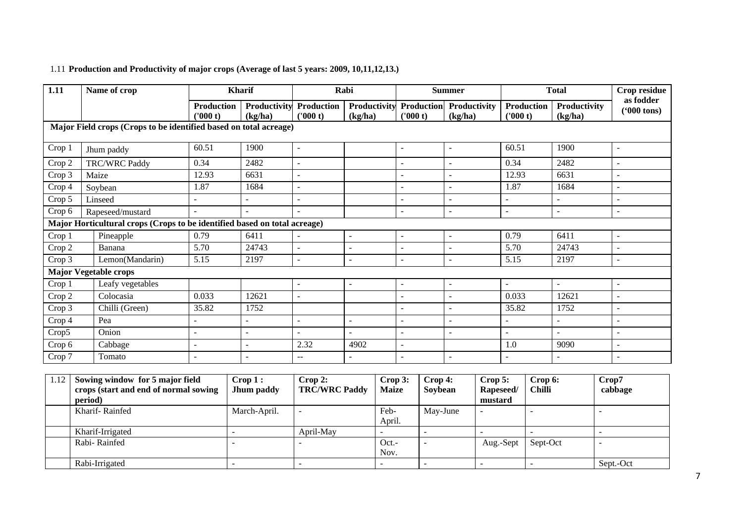# 1.11 **Production and Productivity of major crops (Average of last 5 years: 2009, 10,11,12,13.)**

| 1.11   | Name of crop                                                              |                               | <b>Kharif</b>                  |                                       | Rabi                     |                              | <b>Summer</b>            |                               | <b>Total</b>            |                                   |
|--------|---------------------------------------------------------------------------|-------------------------------|--------------------------------|---------------------------------------|--------------------------|------------------------------|--------------------------|-------------------------------|-------------------------|-----------------------------------|
|        |                                                                           | <b>Production</b><br>('000 t) | <b>Productivity</b><br>(kg/ha) | Production<br>(1000 t)                | Productivity<br>(kg/ha)  | <b>Production</b><br>(000 t) | Productivity<br>(kg/ha)  | <b>Production</b><br>('000 t) | Productivity<br>(kg/ha) | as fodder<br>$(900 \text{ tons})$ |
|        | Major Field crops (Crops to be identified based on total acreage)         |                               |                                |                                       |                          |                              |                          |                               |                         |                                   |
| Crop 1 | Jhum paddy                                                                | 60.51                         | 1900                           | $\overline{\phantom{a}}$              |                          | $\sim$                       | $\sim$                   | 60.51                         | 1900                    | $\blacksquare$                    |
| Crop 2 | TRC/WRC Paddy                                                             | 0.34                          | 2482                           | $\overline{\phantom{a}}$              |                          | $\overline{\phantom{a}}$     | $\overline{\phantom{a}}$ | 0.34                          | 2482                    | $\overline{\phantom{a}}$          |
| Crop 3 | Maize                                                                     | 12.93                         | 6631                           | $\blacksquare$                        |                          |                              | $\sim$                   | 12.93                         | 6631                    | $\overline{\phantom{a}}$          |
| Crop 4 | Soybean                                                                   | 1.87                          | 1684                           | $\blacksquare$                        |                          |                              |                          | 1.87                          | 1684                    | $\overline{\phantom{a}}$          |
| Crop 5 | Linseed                                                                   |                               |                                | $\overline{\phantom{a}}$              |                          |                              | $\sim$                   | $\overline{\phantom{a}}$      |                         | $\blacksquare$                    |
| Crop 6 | Rapeseed/mustard                                                          |                               |                                | $\sim$                                |                          | $\overline{\phantom{a}}$     | $\sim$                   | $\sim$                        | $\overline{a}$          | $\overline{\phantom{a}}$          |
|        | Major Horticultural crops (Crops to be identified based on total acreage) |                               |                                |                                       |                          |                              |                          |                               |                         |                                   |
| Crop 1 | Pineapple                                                                 | 0.79                          | 6411                           | $\overline{\phantom{a}}$              | $\sim$                   | $\sim$                       | $\sim$                   | 0.79                          | 6411                    | $\overline{a}$                    |
| Crop 2 | Banana                                                                    | 5.70                          | 24743                          | $\overline{\phantom{a}}$              | $\blacksquare$           |                              |                          | 5.70                          | 24743                   | $\blacksquare$                    |
| Crop 3 | Lemon(Mandarin)                                                           | 5.15                          | 2197                           | $\sim$                                | $\overline{\phantom{a}}$ | $\overline{\phantom{a}}$     | $\sim$                   | 5.15                          | 2197                    | $\blacksquare$                    |
|        | <b>Major Vegetable crops</b>                                              |                               |                                |                                       |                          |                              |                          |                               |                         |                                   |
| Crop 1 | Leafy vegetables                                                          |                               |                                | $\overline{\phantom{a}}$              | $\overline{a}$           | $\overline{\phantom{a}}$     | $\sim$                   | $\sim$                        | $\sim$                  | $\blacksquare$                    |
| Crop 2 | Colocasia                                                                 | 0.033                         | 12621                          | $\overline{\phantom{a}}$              |                          |                              |                          | 0.033                         | 12621                   | $\blacksquare$                    |
| Crop 3 | Chilli (Green)                                                            | 35.82                         | 1752                           |                                       |                          |                              | $\sim$                   | 35.82                         | 1752                    | $\overline{\phantom{a}}$          |
| Crop 4 | Pea                                                                       |                               |                                | $\sim$                                |                          |                              |                          | $\sim$                        |                         | $\overline{\phantom{a}}$          |
| Crop5  | Onion                                                                     |                               | $\blacksquare$                 | $\overline{\phantom{a}}$              | $\blacksquare$           |                              | $\overline{\phantom{a}}$ | $\sim$                        |                         | $\overline{\phantom{a}}$          |
| Crop 6 | Cabbage                                                                   | $\overline{\phantom{a}}$      | $\overline{a}$                 | 2.32                                  | 4902                     | $\overline{\phantom{a}}$     |                          | 1.0                           | 9090                    | $\overline{a}$                    |
| Crop 7 | Tomato                                                                    |                               | $\blacksquare$                 | $\hspace{0.05cm}$ – $\hspace{0.05cm}$ | $\qquad \qquad -$        |                              | $\sim$                   |                               |                         | $\overline{\phantom{0}}$          |

| 1.12 | Sowing window for 5 major field<br>crops (start and end of normal sowing<br>period) | Crop 1:<br>Jhum paddy | $\bf$ Crop 2:<br><b>TRC/WRC Paddy</b> | Crop 3:<br><b>Maize</b> | $\bf{Crop 4:}$<br>Soybean | Crop 5:<br>Rapeseed/<br>mustard | Crop 6:<br><b>Chilli</b> | Crop7<br>cabbage |
|------|-------------------------------------------------------------------------------------|-----------------------|---------------------------------------|-------------------------|---------------------------|---------------------------------|--------------------------|------------------|
|      | Kharif-Rainfed                                                                      | March-April.          |                                       | Feb-<br>April.          | May-June                  |                                 |                          |                  |
|      | Kharif-Irrigated                                                                    |                       | April-May                             |                         |                           |                                 |                          |                  |
|      | Rabi-Rainfed                                                                        |                       |                                       | Oct.-<br>Nov.           |                           | Aug.-Sept                       | Sept-Oct                 |                  |
|      | Rabi-Irrigated                                                                      |                       |                                       |                         |                           |                                 |                          | Sept.-Oct        |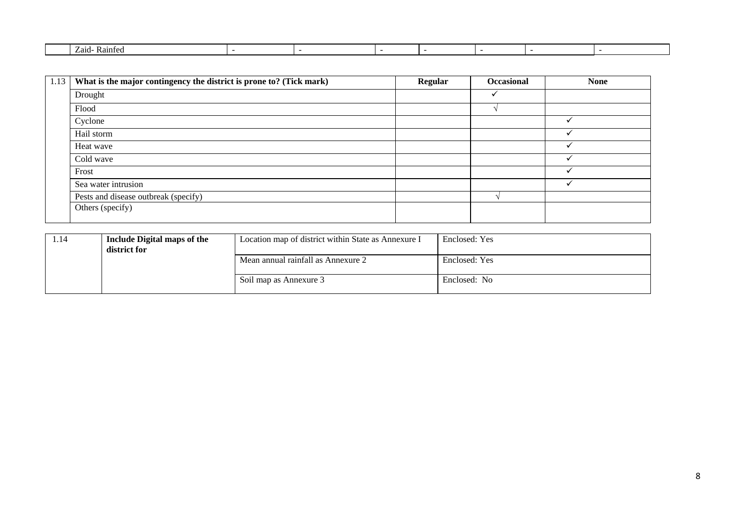| ∕.aıd-<br>Kainte |  |  |  |  |
|------------------|--|--|--|--|
|                  |  |  |  |  |

| 1.13 | What is the major contingency the district is prone to? (Tick mark) | Regular | Occasional | <b>None</b> |
|------|---------------------------------------------------------------------|---------|------------|-------------|
|      | Drought                                                             |         |            |             |
|      | Flood                                                               |         |            |             |
|      | Cyclone                                                             |         |            |             |
|      | Hail storm                                                          |         |            |             |
|      | Heat wave                                                           |         |            |             |
|      | Cold wave                                                           |         |            |             |
|      | Frost                                                               |         |            |             |
|      | Sea water intrusion                                                 |         |            |             |
|      | Pests and disease outbreak (specify)                                |         |            |             |
|      | Others (specify)                                                    |         |            |             |

| 1.14 | Include Digital maps of the<br>district for | Location map of district within State as Annexure I | Enclosed: Yes |
|------|---------------------------------------------|-----------------------------------------------------|---------------|
|      |                                             | Mean annual rainfall as Annexure 2                  | Enclosed: Yes |
|      |                                             | Soil map as Annexure 3                              | Enclosed: No  |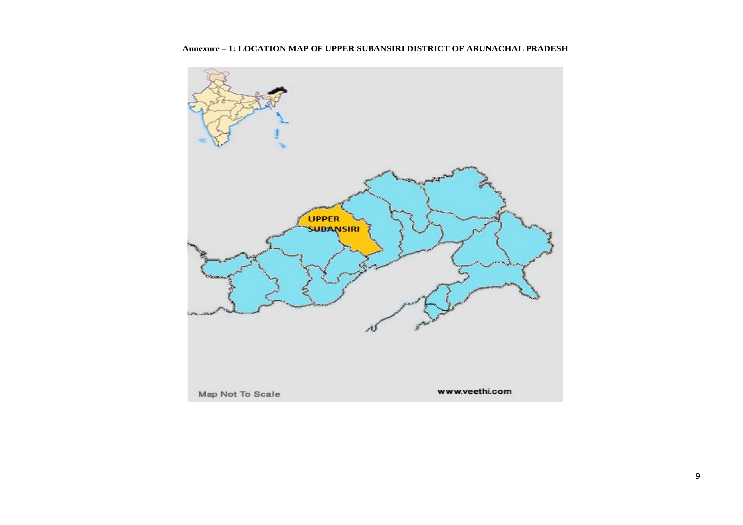

**Annexure – 1: LOCATION MAP OF UPPER SUBANSIRI DISTRICT OF ARUNACHAL PRADESH**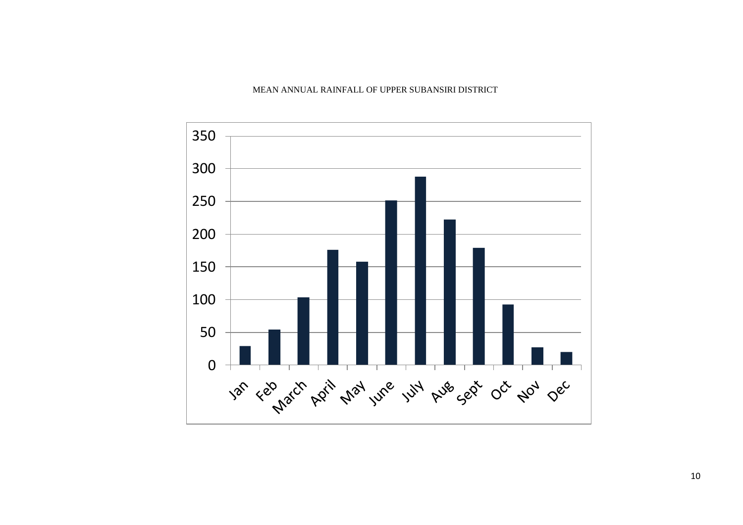#### MEAN ANNUAL RAINFALL OF UPPER SUBANSIRI DISTRICT

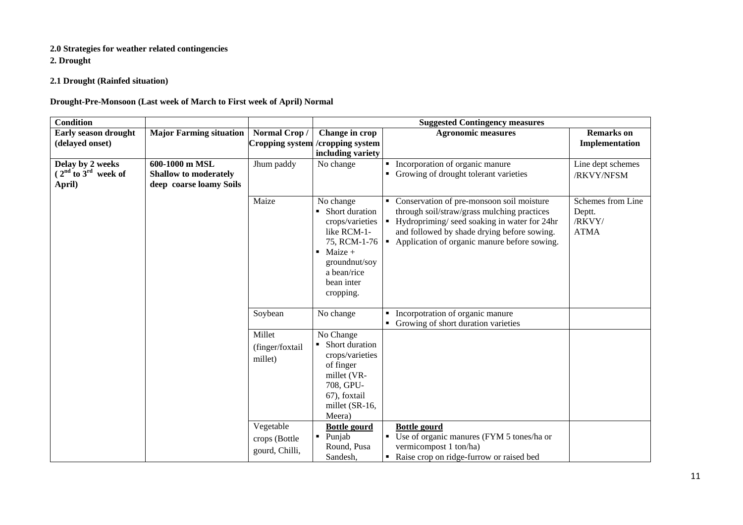# **2.0 Strategies for weather related contingencies**

**2. Drought**

**2.1 Drought (Rainfed situation)**

### **Drought-Pre-Monsoon (Last week of March to First week of April) Normal**

| <b>Condition</b>            |                                |                 |                                   | <b>Suggested Contingency measures</b>                       |                   |
|-----------------------------|--------------------------------|-----------------|-----------------------------------|-------------------------------------------------------------|-------------------|
| <b>Early season drought</b> | <b>Major Farming situation</b> | Normal Crop/    | Change in crop                    | <b>Agronomic measures</b>                                   | <b>Remarks</b> on |
| (delayed onset)             |                                |                 | Cropping system / cropping system |                                                             | Implementation    |
|                             |                                |                 | including variety                 |                                                             |                   |
| Delay by 2 weeks            | 600-1000 m MSL                 | Jhum paddy      | No change                         | Incorporation of organic manure                             | Line dept schemes |
| $2nd$ to $3rd$ week of      | <b>Shallow to moderately</b>   |                 |                                   | Growing of drought tolerant varieties                       | /RKVY/NFSM        |
| April)                      | deep coarse loamy Soils        |                 |                                   |                                                             |                   |
|                             |                                | Maize           | No change                         | Conservation of pre-monsoon soil moisture                   | Schemes from Line |
|                             |                                |                 | Short duration                    | through soil/straw/grass mulching practices                 | Deptt.            |
|                             |                                |                 | crops/varieties                   | $\blacksquare$ Hydropriming/ seed soaking in water for 24hr | /RKVY/            |
|                             |                                |                 | like RCM-1-                       | and followed by shade drying before sowing.                 | <b>ATMA</b>       |
|                             |                                |                 |                                   | 75, RCM-1-76   Application of organic manure before sowing. |                   |
|                             |                                |                 | Maize +<br>$\blacksquare$         |                                                             |                   |
|                             |                                |                 | groundnut/soy                     |                                                             |                   |
|                             |                                |                 | a bean/rice                       |                                                             |                   |
|                             |                                |                 | bean inter                        |                                                             |                   |
|                             |                                |                 | cropping.                         |                                                             |                   |
|                             |                                |                 |                                   |                                                             |                   |
|                             |                                | Soybean         | No change                         | Incorpotration of organic manure                            |                   |
|                             |                                |                 |                                   | • Growing of short duration varieties                       |                   |
|                             |                                | Millet          | No Change                         |                                                             |                   |
|                             |                                | (finger/foxtail | Short duration                    |                                                             |                   |
|                             |                                | millet)         | crops/varieties                   |                                                             |                   |
|                             |                                |                 | of finger                         |                                                             |                   |
|                             |                                |                 | millet (VR-                       |                                                             |                   |
|                             |                                |                 | 708, GPU-                         |                                                             |                   |
|                             |                                |                 | 67), foxtail                      |                                                             |                   |
|                             |                                |                 | millet (SR-16,                    |                                                             |                   |
|                             |                                |                 | Meera)                            |                                                             |                   |
|                             |                                | Vegetable       | <b>Bottle gourd</b>               | <b>Bottle gourd</b>                                         |                   |
|                             |                                | crops (Bottle   | Punjab<br>٠                       | Use of organic manures (FYM 5 tones/ha or                   |                   |
|                             |                                | gourd, Chilli,  | Round, Pusa                       | vermicompost 1 ton/ha)                                      |                   |
|                             |                                |                 | Sandesh,                          | Raise crop on ridge-furrow or raised bed                    |                   |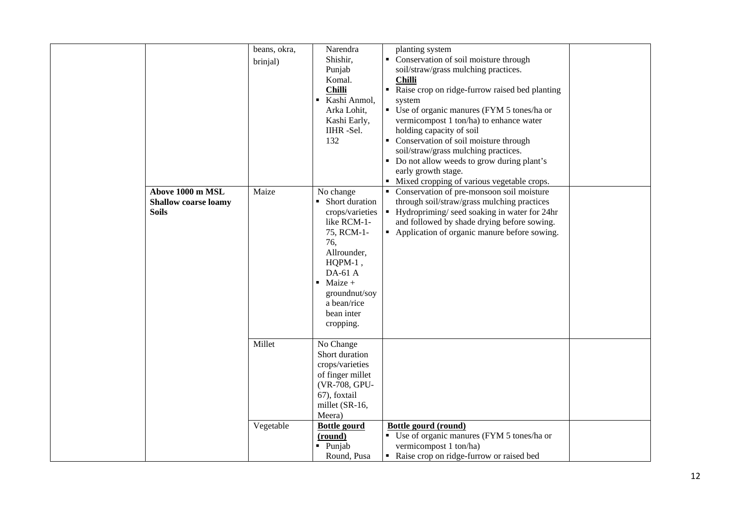|                                                                 | beans, okra,<br>brinjal) | Narendra<br>Shishir,<br>Punjab<br>Komal.<br><b>Chilli</b><br>Kashi Anmol,<br>Arka Lohit,<br>Kashi Early,<br>IIHR-Sel.<br>132                                                                       | planting system<br>Conservation of soil moisture through<br>soil/straw/grass mulching practices.<br><b>Chilli</b><br>Raise crop on ridge-furrow raised bed planting<br>$\blacksquare$<br>system<br>• Use of organic manures (FYM 5 tones/ha or<br>vermicompost 1 ton/ha) to enhance water<br>holding capacity of soil<br>• Conservation of soil moisture through<br>soil/straw/grass mulching practices.<br>Do not allow weeds to grow during plant's<br>early growth stage.<br>Mixed cropping of various vegetable crops. |  |
|-----------------------------------------------------------------|--------------------------|----------------------------------------------------------------------------------------------------------------------------------------------------------------------------------------------------|----------------------------------------------------------------------------------------------------------------------------------------------------------------------------------------------------------------------------------------------------------------------------------------------------------------------------------------------------------------------------------------------------------------------------------------------------------------------------------------------------------------------------|--|
| Above 1000 m MSL<br><b>Shallow coarse loamy</b><br><b>Soils</b> | Maize                    | No change<br>• Short duration<br>crops/varieties<br>like RCM-1-<br>75, RCM-1-<br>76,<br>Allrounder,<br>$HQPM-1$ ,<br>DA-61 A<br>Maize +<br>groundnut/soy<br>a bean/rice<br>bean inter<br>cropping. | • Conservation of pre-monsoon soil moisture<br>through soil/straw/grass mulching practices<br>Hydropriming/seed soaking in water for 24hr<br>$\blacksquare$<br>and followed by shade drying before sowing.<br>• Application of organic manure before sowing.                                                                                                                                                                                                                                                               |  |
|                                                                 | Millet                   | No Change<br>Short duration<br>crops/varieties<br>of finger millet<br>(VR-708, GPU-<br>67), foxtail<br>millet (SR-16,<br>Meera)                                                                    |                                                                                                                                                                                                                                                                                                                                                                                                                                                                                                                            |  |
|                                                                 | Vegetable                | <b>Bottle gourd</b><br>(round)<br>· Punjab<br>Round, Pusa                                                                                                                                          | <b>Bottle gourd (round)</b><br>• Use of organic manures (FYM 5 tones/ha or<br>vermicompost 1 ton/ha)<br>Raise crop on ridge-furrow or raised bed                                                                                                                                                                                                                                                                                                                                                                           |  |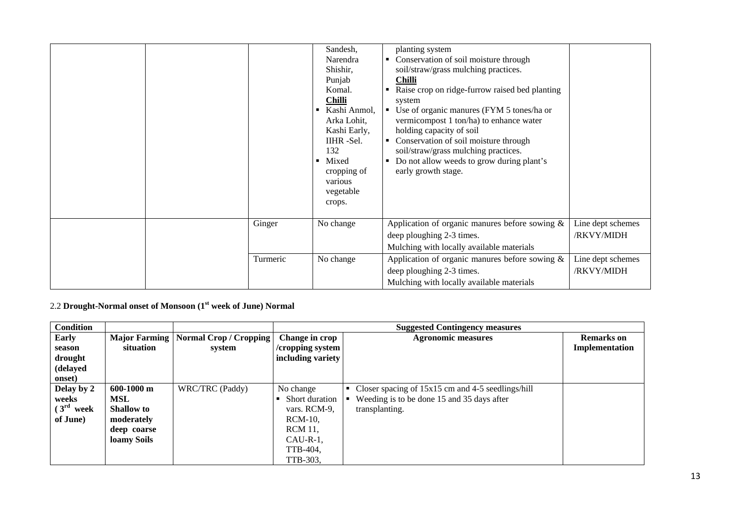|          | Sandesh,<br>Narendra<br>Shishir,<br>Punjab<br>Komal.<br><b>Chilli</b><br>Kashi Anmol,<br>$\blacksquare$<br>Arka Lohit,<br>Kashi Early,<br>IIHR-Sel.<br>132<br>Mixed<br>$\blacksquare$<br>cropping of<br>various<br>vegetable<br>crops. | planting system<br>Conservation of soil moisture through<br>soil/straw/grass mulching practices.<br><b>Chilli</b><br>Raise crop on ridge-furrow raised bed planting<br>system<br>• Use of organic manures (FYM 5 tones/ha or<br>vermicompost 1 ton/ha) to enhance water<br>holding capacity of soil<br>Conservation of soil moisture through<br>soil/straw/grass mulching practices.<br>Do not allow weeds to grow during plant's<br>early growth stage. |                                 |
|----------|----------------------------------------------------------------------------------------------------------------------------------------------------------------------------------------------------------------------------------------|----------------------------------------------------------------------------------------------------------------------------------------------------------------------------------------------------------------------------------------------------------------------------------------------------------------------------------------------------------------------------------------------------------------------------------------------------------|---------------------------------|
| Ginger   | No change                                                                                                                                                                                                                              | Application of organic manures before sowing &<br>deep ploughing 2-3 times.<br>Mulching with locally available materials                                                                                                                                                                                                                                                                                                                                 | Line dept schemes<br>/RKVY/MIDH |
| Turmeric | No change                                                                                                                                                                                                                              | Application of organic manures before sowing $\&$<br>deep ploughing 2-3 times.<br>Mulching with locally available materials                                                                                                                                                                                                                                                                                                                              | Line dept schemes<br>/RKVY/MIDH |

# 2.2 **Drought-Normal onset of Monsoon (1st week of June) Normal**

| Condition              |                      |                        |                   | <b>Suggested Contingency measures</b>               |                |  |  |
|------------------------|----------------------|------------------------|-------------------|-----------------------------------------------------|----------------|--|--|
| Early                  | <b>Major Farming</b> | Normal Crop / Cropping | Change in crop    | <b>Agronomic measures</b>                           |                |  |  |
| season                 | situation            | system                 | /cropping system  |                                                     | Implementation |  |  |
| drought                |                      |                        | including variety |                                                     |                |  |  |
| (delayed               |                      |                        |                   |                                                     |                |  |  |
| onset)                 |                      |                        |                   |                                                     |                |  |  |
| Delay by 2             | $600-1000$ m         | WRC/TRC (Paddy)        | No change         | Closer spacing of $15x15$ cm and 4-5 seedlings/hill |                |  |  |
| weeks                  | <b>MSL</b>           |                        | Short duration    | Weeding is to be done 15 and 35 days after          |                |  |  |
| (3 <sup>rd</sup> week) | <b>Shallow</b> to    |                        | vars. RCM-9.      | transplanting.                                      |                |  |  |
| of June)               | moderately           |                        | $RCM-10$ ,        |                                                     |                |  |  |
|                        | deep coarse          |                        | <b>RCM 11,</b>    |                                                     |                |  |  |
|                        | loamy Soils          |                        | $CAU-R-1$ ,       |                                                     |                |  |  |
|                        |                      |                        | TTB-404,          |                                                     |                |  |  |
|                        |                      |                        | TTB-303.          |                                                     |                |  |  |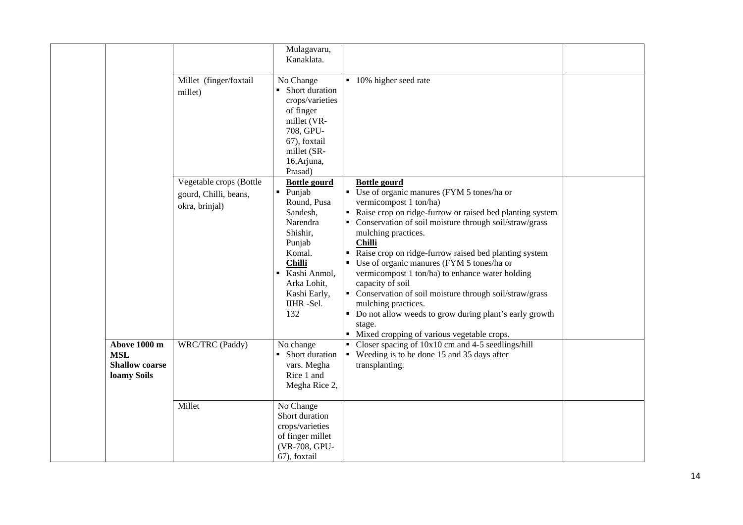|                                                                    |                                                                    | Mulagavaru,<br>Kanaklata.                                                                                                                                                                                                    |                                                                                                                                                                                                                                                                                                                                                                                                                                                                                                                                                                                                                                                                                    |  |
|--------------------------------------------------------------------|--------------------------------------------------------------------|------------------------------------------------------------------------------------------------------------------------------------------------------------------------------------------------------------------------------|------------------------------------------------------------------------------------------------------------------------------------------------------------------------------------------------------------------------------------------------------------------------------------------------------------------------------------------------------------------------------------------------------------------------------------------------------------------------------------------------------------------------------------------------------------------------------------------------------------------------------------------------------------------------------------|--|
|                                                                    | Millet (finger/foxtail<br>millet)                                  | No Change<br>• Short duration<br>crops/varieties<br>of finger<br>millet (VR-<br>708, GPU-<br>67), foxtail<br>millet (SR-<br>16, Arjuna,<br>Prasad)                                                                           | ■ 10% higher seed rate                                                                                                                                                                                                                                                                                                                                                                                                                                                                                                                                                                                                                                                             |  |
|                                                                    | Vegetable crops (Bottle<br>gourd, Chilli, beans,<br>okra, brinjal) | <b>Bottle gourd</b><br>Punjab<br>$\blacksquare$<br>Round, Pusa<br>Sandesh,<br>Narendra<br>Shishir,<br>Punjab<br>Komal.<br><b>Chilli</b><br>Kashi Anmol,<br>$\blacksquare$<br>Arka Lohit,<br>Kashi Early,<br>IIHR-Sel.<br>132 | <b>Bottle gourd</b><br>Use of organic manures (FYM 5 tones/ha or<br>$\blacksquare$<br>vermicompost 1 ton/ha)<br>Raise crop on ridge-furrow or raised bed planting system<br>• Conservation of soil moisture through soil/straw/grass<br>mulching practices.<br><b>Chilli</b><br>Raise crop on ridge-furrow raised bed planting system<br>$\blacksquare$<br>Use of organic manures (FYM 5 tones/ha or<br>vermicompost 1 ton/ha) to enhance water holding<br>capacity of soil<br>• Conservation of soil moisture through soil/straw/grass<br>mulching practices.<br>• Do not allow weeds to grow during plant's early growth<br>stage.<br>Mixed cropping of various vegetable crops. |  |
| Above 1000 m<br><b>MSL</b><br><b>Shallow coarse</b><br>loamy Soils | WRC/TRC (Paddy)                                                    | No change<br>• Short duration<br>vars. Megha<br>Rice 1 and<br>Megha Rice 2,                                                                                                                                                  | Closer spacing of $10x10$ cm and 4-5 seedlings/hill<br>$\blacksquare$<br>Weeding is to be done 15 and 35 days after<br>$\blacksquare$<br>transplanting.                                                                                                                                                                                                                                                                                                                                                                                                                                                                                                                            |  |
|                                                                    | Millet                                                             | No Change<br>Short duration<br>crops/varieties<br>of finger millet<br>(VR-708, GPU-<br>67), foxtail                                                                                                                          |                                                                                                                                                                                                                                                                                                                                                                                                                                                                                                                                                                                                                                                                                    |  |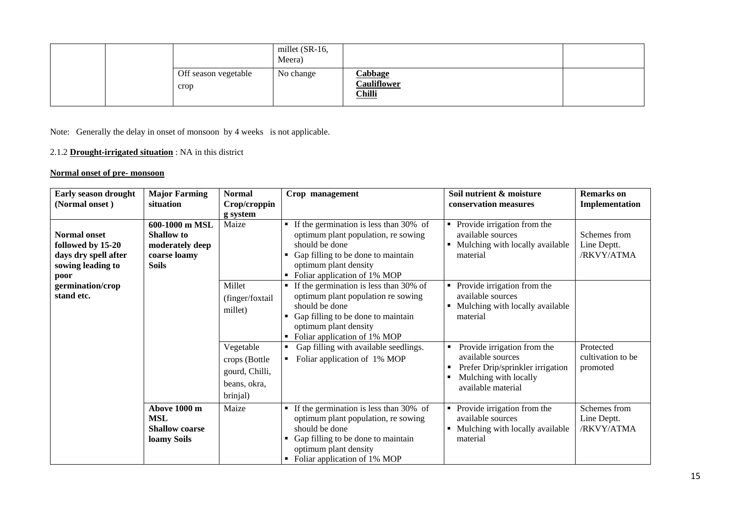|  |                              | millet (SR-16,<br>Meera) |                                                       |  |
|--|------------------------------|--------------------------|-------------------------------------------------------|--|
|  | Off season vegetable<br>crop | No change                | <b>Cabbage</b><br><b>Cauliflower</b><br><b>Chilli</b> |  |

Note: Generally the delay in onset of monsoon by 4 weeks is not applicable.

# 2.1.2 **Drought-irrigated situation** : NA in this district

### **Normal onset of pre- monsoon**

| Early season drought<br>(Normal onset)                                                        | <b>Major Farming</b><br>situation                                               | <b>Normal</b><br>Crop/croppin<br>g system                                | Crop management                                                                                                                                                                                                 | Soil nutrient & moisture<br>conservation measures                                                                                   | <b>Remarks</b> on<br>Implementation        |
|-----------------------------------------------------------------------------------------------|---------------------------------------------------------------------------------|--------------------------------------------------------------------------|-----------------------------------------------------------------------------------------------------------------------------------------------------------------------------------------------------------------|-------------------------------------------------------------------------------------------------------------------------------------|--------------------------------------------|
| <b>Normal onset</b><br>followed by 15-20<br>days dry spell after<br>sowing leading to<br>poor | 600-1000 m MSL<br>Shallow to<br>moderately deep<br>coarse loamy<br><b>Soils</b> | Maize                                                                    | $\blacksquare$ If the germination is less than 30% of<br>optimum plant population, re sowing<br>should be done<br>Gap filling to be done to maintain<br>optimum plant density<br>Foliar application of 1% MOP   | Provide irrigation from the<br>٠<br>available sources<br>Mulching with locally available<br>material                                | Schemes from<br>Line Deptt.<br>/RKVY/ATMA  |
| germination/crop<br>stand etc.                                                                |                                                                                 | Millet<br>(finger/foxtail<br>millet)                                     | If the germination is less than 30% of<br>٠<br>optimum plant population re sowing<br>should be done<br>Gap filling to be done to maintain<br>optimum plant density<br>• Foliar application of 1% MOP            | Provide irrigation from the<br>٠<br>available sources<br>Mulching with locally available<br>٠<br>material                           |                                            |
|                                                                                               |                                                                                 | Vegetable<br>crops (Bottle<br>gourd, Chilli,<br>beans, okra,<br>brinjal) | Gap filling with available seedlings.<br>٠<br>Foliar application of 1% MOP<br>٠                                                                                                                                 | Provide irrigation from the<br>available sources<br>Prefer Drip/sprinkler irrigation<br>Mulching with locally<br>available material | Protected<br>cultivation to be<br>promoted |
|                                                                                               | Above 1000 m<br><b>MSL</b><br><b>Shallow coarse</b><br>loamy Soils              | Maize                                                                    | $\blacksquare$ If the germination is less than 30% of<br>optimum plant population, re sowing<br>should be done<br>Gap filling to be done to maintain<br>optimum plant density<br>• Foliar application of 1% MOP | Provide irrigation from the<br>available sources<br>Mulching with locally available<br>material                                     | Schemes from<br>Line Deptt.<br>/RKVY/ATMA  |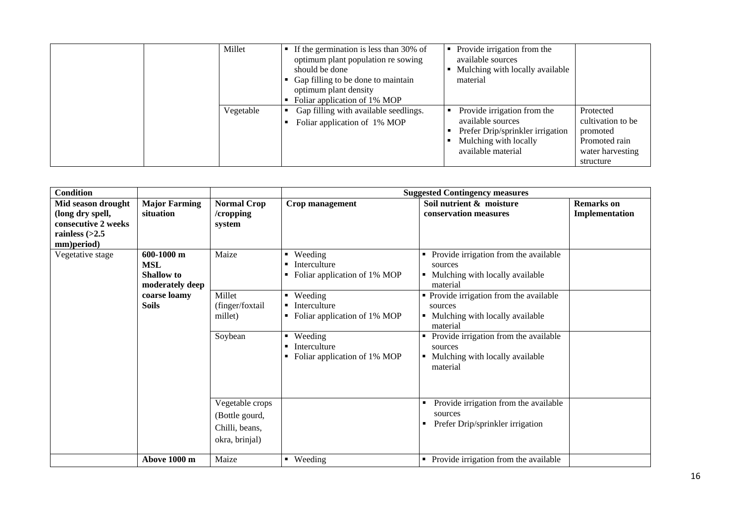| Millet |           | If the germination is less than 30% of<br>optimum plant population re sowing<br>should be done<br>Gap filling to be done to maintain<br>optimum plant density<br>Foliar application of 1% MOP | Provide irrigation from the<br>available sources<br>Mulching with locally available<br>material                                     |                                                                                              |
|--------|-----------|-----------------------------------------------------------------------------------------------------------------------------------------------------------------------------------------------|-------------------------------------------------------------------------------------------------------------------------------------|----------------------------------------------------------------------------------------------|
|        | Vegetable | Gap filling with available seedlings.<br>Foliar application of 1% MOP                                                                                                                         | Provide irrigation from the<br>available sources<br>Prefer Drip/sprinkler irrigation<br>Mulching with locally<br>available material | Protected<br>cultivation to be<br>promoted<br>Promoted rain<br>water harvesting<br>structure |

| <b>Condition</b>                                                                                |                                                                                                  |                                                                       |                                                                                                                                                                                                                                       | <b>Suggested Contingency measures</b>                                                                                                                                                                                                                                                                       |                                     |
|-------------------------------------------------------------------------------------------------|--------------------------------------------------------------------------------------------------|-----------------------------------------------------------------------|---------------------------------------------------------------------------------------------------------------------------------------------------------------------------------------------------------------------------------------|-------------------------------------------------------------------------------------------------------------------------------------------------------------------------------------------------------------------------------------------------------------------------------------------------------------|-------------------------------------|
| Mid season drought<br>(long dry spell,<br>consecutive 2 weeks<br>rainless $(>2.5$<br>mm)period) | <b>Major Farming</b><br>situation                                                                | <b>Normal Crop</b><br>/cropping<br>system                             | Crop management                                                                                                                                                                                                                       | Soil nutrient & moisture<br>conservation measures                                                                                                                                                                                                                                                           | <b>Remarks</b> on<br>Implementation |
| Vegetative stage                                                                                | 600-1000 m<br><b>MSL</b><br><b>Shallow</b> to<br>moderately deep<br>coarse loamy<br><b>Soils</b> | Maize<br>Millet<br>(finger/foxtail<br>millet)<br>Soybean              | Weeding<br>$\blacksquare$<br>Interculture<br>Foliar application of 1% MOP<br>٠<br>$\blacksquare$ Weeding<br>Interculture<br>Foliar application of 1% MOP<br>Weeding<br>$\blacksquare$<br>Interculture<br>Foliar application of 1% MOP | Provide irrigation from the available<br>sources<br>• Mulching with locally available<br>material<br>• Provide irrigation from the available<br>sources<br>• Mulching with locally available<br>material<br>Provide irrigation from the available<br>sources<br>Mulching with locally available<br>material |                                     |
|                                                                                                 |                                                                                                  | Vegetable crops<br>(Bottle gourd,<br>Chilli, beans,<br>okra, brinjal) |                                                                                                                                                                                                                                       | Provide irrigation from the available<br>sources<br>Prefer Drip/sprinkler irrigation                                                                                                                                                                                                                        |                                     |
|                                                                                                 | Above 1000 m                                                                                     | Maize                                                                 | • Weeding                                                                                                                                                                                                                             | • Provide irrigation from the available                                                                                                                                                                                                                                                                     |                                     |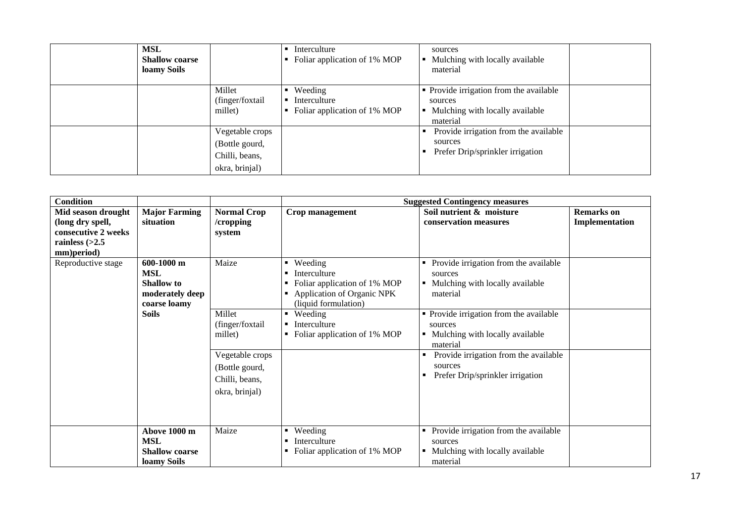| <b>MSL</b><br><b>Shallow coarse</b><br>loamy Soils |                                                                       | Interculture<br>Foliar application of 1% MOP                              | sources<br>Mulching with locally available<br>material                                            |  |
|----------------------------------------------------|-----------------------------------------------------------------------|---------------------------------------------------------------------------|---------------------------------------------------------------------------------------------------|--|
|                                                    | Millet<br>(finger/foxtail)<br>millet)                                 | Weeding<br>Interculture<br>$\blacksquare$<br>Foliar application of 1% MOP | • Provide irrigation from the available<br>sources<br>Mulching with locally available<br>material |  |
|                                                    | Vegetable crops<br>(Bottle gourd,<br>Chilli, beans,<br>okra, brinjal) |                                                                           | Provide irrigation from the available<br>sources<br>Prefer Drip/sprinkler irrigation              |  |

| <b>Condition</b>    |                       |                                                         |                                                              | <b>Suggested Contingency measures</b>                                                                                                        |                   |
|---------------------|-----------------------|---------------------------------------------------------|--------------------------------------------------------------|----------------------------------------------------------------------------------------------------------------------------------------------|-------------------|
| Mid season drought  | <b>Major Farming</b>  | <b>Normal Crop</b>                                      | Crop management                                              | Soil nutrient & moisture                                                                                                                     | <b>Remarks</b> on |
| (long dry spell,    | situation             | /cropping                                               |                                                              | conservation measures                                                                                                                        | Implementation    |
| consecutive 2 weeks |                       | system                                                  |                                                              |                                                                                                                                              |                   |
| rainless $(>2.5$    |                       |                                                         |                                                              |                                                                                                                                              |                   |
| mm)period)          |                       |                                                         |                                                              |                                                                                                                                              |                   |
| Reproductive stage  | 600-1000 m            | Maize                                                   | $\blacksquare$ Weeding                                       | Provide irrigation from the available                                                                                                        |                   |
|                     | <b>MSL</b>            |                                                         | Interculture                                                 | sources                                                                                                                                      |                   |
|                     | <b>Shallow</b> to     |                                                         | Foliar application of 1% MOP                                 | Mulching with locally available                                                                                                              |                   |
|                     | moderately deep       |                                                         | Application of Organic NPK                                   | material                                                                                                                                     |                   |
|                     | coarse loamy          |                                                         | (liquid formulation)                                         |                                                                                                                                              |                   |
|                     | <b>Soils</b>          | Millet<br>(finger/foxtail<br>millet)<br>Vegetable crops | Weeding<br>٠<br>Interculture<br>Foliar application of 1% MOP | • Provide irrigation from the available<br>sources<br>• Mulching with locally available<br>material<br>Provide irrigation from the available |                   |
|                     |                       | (Bottle gourd,                                          |                                                              | sources                                                                                                                                      |                   |
|                     |                       | Chilli, beans,                                          |                                                              | Prefer Drip/sprinkler irrigation                                                                                                             |                   |
|                     |                       | okra, brinjal)                                          |                                                              |                                                                                                                                              |                   |
|                     |                       |                                                         |                                                              |                                                                                                                                              |                   |
|                     | Above 1000 m          | Maize                                                   | Weeding<br>$\blacksquare$                                    | Provide irrigation from the available                                                                                                        |                   |
|                     | <b>MSL</b>            |                                                         | Interculture                                                 | sources                                                                                                                                      |                   |
|                     | <b>Shallow coarse</b> |                                                         | Foliar application of 1% MOP<br>٠                            | Mulching with locally available                                                                                                              |                   |
|                     | loamy Soils           |                                                         |                                                              | material                                                                                                                                     |                   |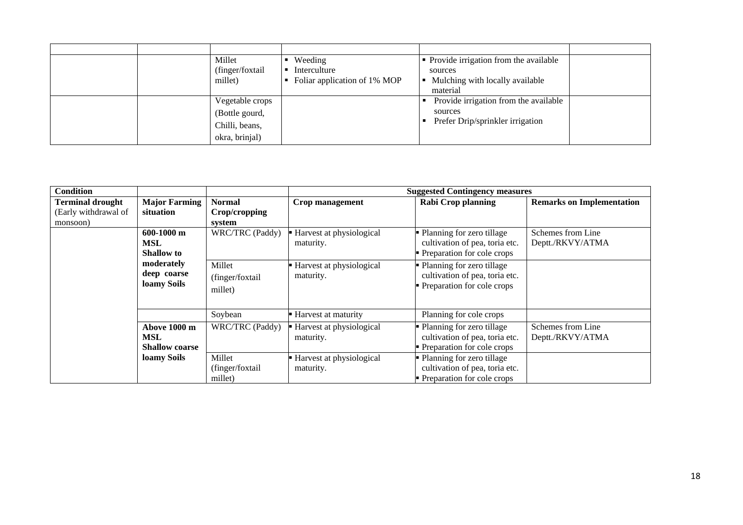|  | Millet<br>(finger/foxtail)<br>millet)                                 | Weeding<br>Interculture<br>Foliar application of 1% MOP | • Provide irrigation from the available<br>sources<br>Mulching with locally available<br>material |  |
|--|-----------------------------------------------------------------------|---------------------------------------------------------|---------------------------------------------------------------------------------------------------|--|
|  | Vegetable crops<br>(Bottle gourd,<br>Chilli, beans,<br>okra, brinjal) |                                                         | Provide irrigation from the available<br>sources<br>Prefer Drip/sprinkler irrigation              |  |

| <b>Condition</b>        |                                                            |                                       |                                       | <b>Suggested Contingency measures</b>                                                         |                                       |
|-------------------------|------------------------------------------------------------|---------------------------------------|---------------------------------------|-----------------------------------------------------------------------------------------------|---------------------------------------|
| <b>Terminal drought</b> | <b>Major Farming</b>                                       | <b>Normal</b>                         | Crop management                       | <b>Rabi Crop planning</b>                                                                     | <b>Remarks on Implementation</b>      |
| (Early withdrawal of    | situation                                                  | Crop/cropping                         |                                       |                                                                                               |                                       |
| monsoon)                |                                                            | system                                |                                       |                                                                                               |                                       |
|                         | $600-1000$ m<br><b>MSL</b><br><b>Shallow</b> to            | WRC/TRC (Paddy)                       | Harvest at physiological<br>maturity. | • Planning for zero tillage<br>cultivation of pea, toria etc.<br>• Preparation for cole crops | Schemes from Line<br>Deptt./RKVY/ATMA |
|                         | moderately<br>deep coarse<br>loamy Soils                   | Millet<br>(finger/foxtail<br>millet)  | Harvest at physiological<br>maturity. | • Planning for zero tillage<br>cultivation of pea, toria etc.<br>• Preparation for cole crops |                                       |
|                         |                                                            | Soybean                               | Harvest at maturity                   | Planning for cole crops                                                                       |                                       |
|                         | <b>Above 1000 m</b><br><b>MSL</b><br><b>Shallow coarse</b> | WRC/TRC (Paddy)                       | Harvest at physiological<br>maturity. | • Planning for zero tillage<br>cultivation of pea, toria etc.<br>• Preparation for cole crops | Schemes from Line<br>Deptt./RKVY/ATMA |
|                         | loamy Soils                                                | Millet<br>(finger/foxtail)<br>millet) | Harvest at physiological<br>maturity. | • Planning for zero tillage<br>cultivation of pea, toria etc.<br>• Preparation for cole crops |                                       |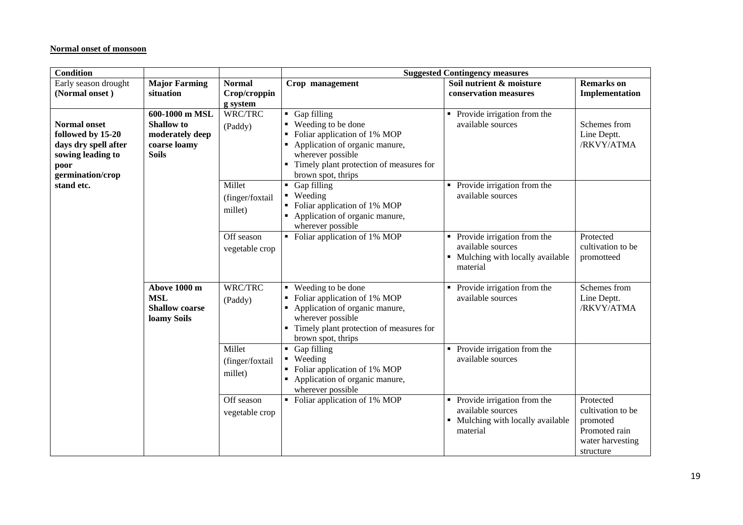#### **Normal onset of monsoon**

| <b>Condition</b>                                                                                                  |                                                                                        |                                      | <b>Suggested Contingency measures</b>                                                                                                                                                            |                                                                                                         |                                                                                              |  |
|-------------------------------------------------------------------------------------------------------------------|----------------------------------------------------------------------------------------|--------------------------------------|--------------------------------------------------------------------------------------------------------------------------------------------------------------------------------------------------|---------------------------------------------------------------------------------------------------------|----------------------------------------------------------------------------------------------|--|
| Early season drought<br>(Normal onset)                                                                            | <b>Major Farming</b><br>situation                                                      | <b>Normal</b><br>Crop/croppin        | Crop management                                                                                                                                                                                  | Soil nutrient & moisture<br>conservation measures                                                       | <b>Remarks</b> on<br>Implementation                                                          |  |
|                                                                                                                   |                                                                                        | g system                             |                                                                                                                                                                                                  |                                                                                                         |                                                                                              |  |
| <b>Normal onset</b><br>followed by 15-20<br>days dry spell after<br>sowing leading to<br>poor<br>germination/crop | 600-1000 m MSL<br><b>Shallow</b> to<br>moderately deep<br>coarse loamy<br><b>Soils</b> | WRC/TRC<br>(Paddy)                   | Gap filling<br>٠<br>■ Weeding to be done<br>Foliar application of 1% MOP<br>Application of organic manure,<br>wherever possible<br>Timely plant protection of measures for<br>brown spot, thrips | Provide irrigation from the<br>available sources                                                        | Schemes from<br>Line Deptt.<br>/RKVY/ATMA                                                    |  |
| stand etc.                                                                                                        |                                                                                        | Millet<br>(finger/foxtail<br>millet) | Gap filling<br>$\blacksquare$<br>• Weeding<br>Foliar application of 1% MOP<br>• Application of organic manure,<br>wherever possible                                                              | Provide irrigation from the<br>٠<br>available sources                                                   |                                                                                              |  |
|                                                                                                                   |                                                                                        | Off season<br>vegetable crop         | • Foliar application of 1% MOP                                                                                                                                                                   | Provide irrigation from the<br>π.<br>available sources<br>• Mulching with locally available<br>material | Protected<br>cultivation to be<br>promotteed                                                 |  |
|                                                                                                                   | Above 1000 m<br><b>MSL</b><br><b>Shallow coarse</b><br>loamy Soils                     | WRC/TRC<br>(Paddy)                   | Weeding to be done<br>Foliar application of 1% MOP<br>Application of organic manure,<br>wherever possible<br>Timely plant protection of measures for<br>brown spot, thrips                       | Provide irrigation from the<br>$\blacksquare$<br>available sources                                      | Schemes from<br>Line Deptt.<br>/RKVY/ATMA                                                    |  |
|                                                                                                                   |                                                                                        | Millet<br>(finger/foxtail<br>millet) | • Gap filling<br>• Weeding<br>Foliar application of 1% MOP<br>Application of organic manure,<br>wherever possible                                                                                | Provide irrigation from the<br>available sources                                                        |                                                                                              |  |
|                                                                                                                   |                                                                                        | Off season<br>vegetable crop         | • Foliar application of 1% MOP                                                                                                                                                                   | Provide irrigation from the<br>available sources<br>• Mulching with locally available<br>material       | Protected<br>cultivation to be<br>promoted<br>Promoted rain<br>water harvesting<br>structure |  |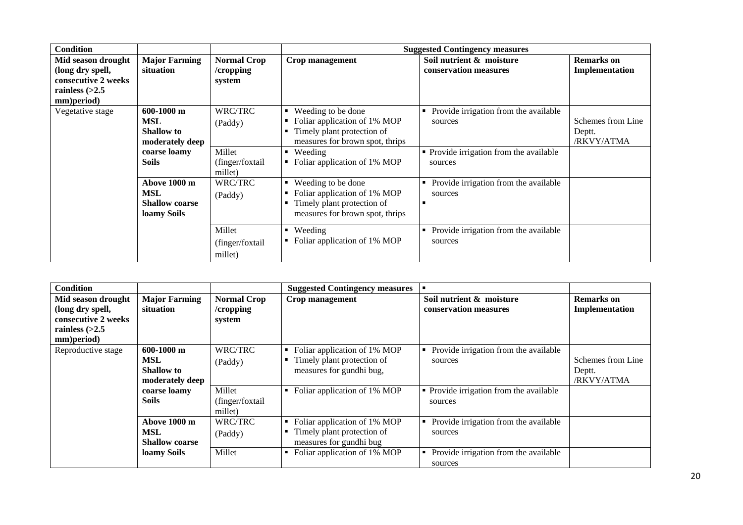| <b>Condition</b>                                                                                |                                                                                      |                                                  |                                                                                                                                                                                            | <b>Suggested Contingency measures</b>                                                                  |                                           |
|-------------------------------------------------------------------------------------------------|--------------------------------------------------------------------------------------|--------------------------------------------------|--------------------------------------------------------------------------------------------------------------------------------------------------------------------------------------------|--------------------------------------------------------------------------------------------------------|-------------------------------------------|
| Mid season drought<br>(long dry spell,<br>consecutive 2 weeks<br>rainless $(>2.5$<br>mm)period) | <b>Major Farming</b><br>situation                                                    | <b>Normal Crop</b><br>/cropping<br>system        | Crop management                                                                                                                                                                            | Soil nutrient & moisture<br>conservation measures                                                      | <b>Remarks</b> on<br>Implementation       |
| Vegetative stage                                                                                | $600-1000$ m<br>MSL<br>Shallow to<br>moderately deep<br>coarse loamy<br><b>Soils</b> | WRC/TRC<br>(Paddy)<br>Millet<br>(finger/foxtail) | Weeding to be done<br>Foliar application of 1% MOP<br>٠<br>Timely plant protection of<br>٠<br>measures for brown spot, thrips<br>Weeding<br>$\blacksquare$<br>Foliar application of 1% MOP | Provide irrigation from the available<br>sources<br>• Provide irrigation from the available<br>sources | Schemes from Line<br>Deptt.<br>/RKVY/ATMA |
|                                                                                                 | Above 1000 m<br><b>MSL</b><br><b>Shallow coarse</b><br>loamy Soils                   | millet)<br>WRC/TRC<br>(Paddy)                    | Weeding to be done<br>٠<br>Foliar application of 1% MOP<br>٠<br>Timely plant protection of<br>٠<br>measures for brown spot, thrips                                                         | Provide irrigation from the available<br>sources                                                       |                                           |
|                                                                                                 |                                                                                      | Millet<br>(finger/foxtail<br>millet)             | Weeding<br>٠<br>Foliar application of 1% MOP                                                                                                                                               | Provide irrigation from the available<br>sources                                                       |                                           |

| <b>Condition</b>                                                                                                              |                                                             |                                           | <b>Suggested Contingency measures</b>                                                  | п                                                     |                                           |
|-------------------------------------------------------------------------------------------------------------------------------|-------------------------------------------------------------|-------------------------------------------|----------------------------------------------------------------------------------------|-------------------------------------------------------|-------------------------------------------|
| Mid season drought<br>(long dry spell,<br>consecutive 2 weeks<br>rainless $\left\langle \geq 2.5 \right\rangle$<br>mm)period) | <b>Major Farming</b><br>situation                           | <b>Normal Crop</b><br>/cropping<br>system | Crop management                                                                        | Soil nutrient & moisture<br>conservation measures     | <b>Remarks</b> on<br>Implementation       |
| Reproductive stage                                                                                                            | $600-1000$ m<br>MSL<br><b>Shallow to</b><br>moderately deep | WRC/TRC<br>(Paddy)                        | Foliar application of 1% MOP<br>Timely plant protection of<br>measures for gundhi bug, | Provide irrigation from the available<br>sources      | Schemes from Line<br>Deptt.<br>/RKVY/ATMA |
|                                                                                                                               | coarse loamy<br><b>Soils</b>                                | Millet<br>(finger/foxtail<br>millet)      | Foliar application of 1% MOP<br>٠                                                      | • Provide irrigation from the available<br>sources    |                                           |
|                                                                                                                               | Above 1000 m<br>MSL<br><b>Shallow coarse</b>                | WRC/TRC<br>(Paddy)                        | Foliar application of 1% MOP<br>Timely plant protection of<br>measures for gundhi bug  | • Provide irrigation from the available<br>sources    |                                           |
|                                                                                                                               | loamy Soils                                                 | Millet                                    | Foliar application of 1% MOP                                                           | Provide irrigation from the available<br>٠<br>sources |                                           |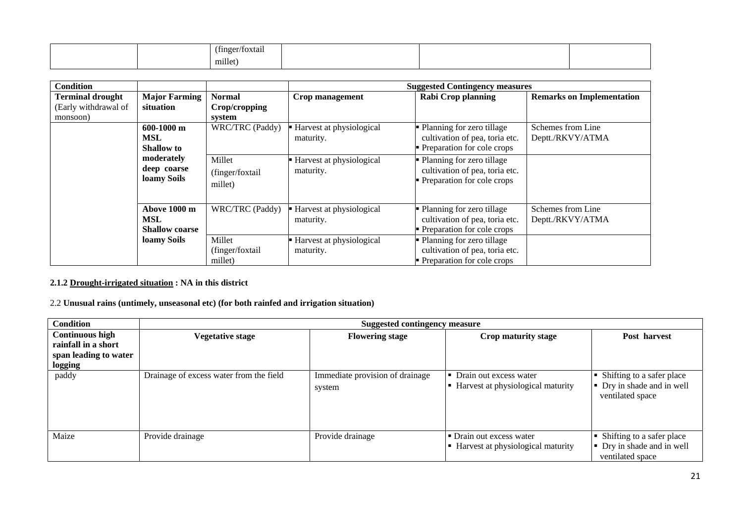|  | .<br>$\sim$ $\sim$<br>$'$ tinger/<br>™oxtan - |  |  |
|--|-----------------------------------------------|--|--|
|  | millet)<br>the control of the control of the  |  |  |

| <b>Condition</b>        |                       |                  |                          | <b>Suggested Contingency measures</b> |                                  |
|-------------------------|-----------------------|------------------|--------------------------|---------------------------------------|----------------------------------|
| <b>Terminal drought</b> | <b>Major Farming</b>  | <b>Normal</b>    | Crop management          | <b>Rabi Crop planning</b>             | <b>Remarks on Implementation</b> |
| (Early withdrawal of    | situation             | Crop/cropping    |                          |                                       |                                  |
| monsoon)                |                       | system           |                          |                                       |                                  |
|                         | $600-1000$ m          | WRC/TRC (Paddy)  | Harvest at physiological | • Planning for zero tillage           | Schemes from Line                |
|                         | MSL                   |                  | maturity.                | cultivation of pea, toria etc.        | Deptt./RKVY/ATMA                 |
|                         | <b>Shallow</b> to     |                  |                          | • Preparation for cole crops          |                                  |
|                         | moderately            | Millet           | Harvest at physiological | • Planning for zero tillage           |                                  |
|                         | deep coarse           | (finger/foxtail  | maturity.                | cultivation of pea, toria etc.        |                                  |
|                         | loamy Soils           | millet)          |                          | • Preparation for cole crops          |                                  |
|                         |                       |                  |                          |                                       |                                  |
|                         |                       |                  |                          |                                       |                                  |
|                         | Above 1000 m          | WRC/TRC (Paddy)  | Harvest at physiological | • Planning for zero tillage           | Schemes from Line                |
|                         | MSL                   |                  | maturity.                | cultivation of pea, toria etc.        | Deptt./RKVY/ATMA                 |
|                         | <b>Shallow coarse</b> |                  |                          | • Preparation for cole crops          |                                  |
|                         | loamy Soils           | Millet           | Harvest at physiological | • Planning for zero tillage           |                                  |
|                         |                       | (finger/foxtail) | maturity.                | cultivation of pea, toria etc.        |                                  |
|                         |                       | millet)          |                          | • Preparation for cole crops          |                                  |

### **2.1.2 Drought-irrigated situation : NA in this district**

# 2.2 **Unusual rains (untimely, unseasonal etc) (for both rainfed and irrigation situation)**

| <b>Condition</b>                                                                         |                                         | <b>Suggested contingency measure</b>      |                                                                 |                                                                               |
|------------------------------------------------------------------------------------------|-----------------------------------------|-------------------------------------------|-----------------------------------------------------------------|-------------------------------------------------------------------------------|
| <b>Continuous high</b><br>rainfall in a short<br>span leading to water<br><b>logging</b> | <b>Vegetative stage</b>                 | <b>Flowering stage</b>                    | Crop maturity stage                                             | Post harvest                                                                  |
| paddy                                                                                    | Drainage of excess water from the field | Immediate provision of drainage<br>system | Drain out excess water<br>Harvest at physiological maturity     | • Shifting to a safer place<br>• Dry in shade and in well<br>ventilated space |
| Maize                                                                                    | Provide drainage                        | Provide drainage                          | • Drain out excess water<br>• Harvest at physiological maturity | Shifting to a safer place<br>• Dry in shade and in well<br>ventilated space   |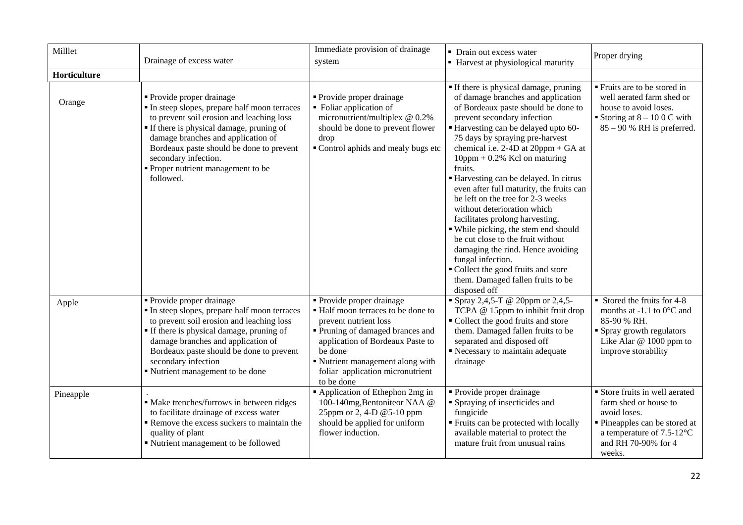| Milllet      | Drainage of excess water                                                                                                                                                                                                                                                                                                      | Immediate provision of drainage<br>system                                                                                                                                                                                                                     | • Drain out excess water<br>• Harvest at physiological maturity                                                                                                                                                                                                                                                                                                                                                                                                                                                                                                                                                                                                                                                                                  | Proper drying                                                                                                                                                                 |
|--------------|-------------------------------------------------------------------------------------------------------------------------------------------------------------------------------------------------------------------------------------------------------------------------------------------------------------------------------|---------------------------------------------------------------------------------------------------------------------------------------------------------------------------------------------------------------------------------------------------------------|--------------------------------------------------------------------------------------------------------------------------------------------------------------------------------------------------------------------------------------------------------------------------------------------------------------------------------------------------------------------------------------------------------------------------------------------------------------------------------------------------------------------------------------------------------------------------------------------------------------------------------------------------------------------------------------------------------------------------------------------------|-------------------------------------------------------------------------------------------------------------------------------------------------------------------------------|
| Horticulture |                                                                                                                                                                                                                                                                                                                               |                                                                                                                                                                                                                                                               |                                                                                                                                                                                                                                                                                                                                                                                                                                                                                                                                                                                                                                                                                                                                                  |                                                                                                                                                                               |
| Orange       | • Provide proper drainage<br>In steep slopes, prepare half moon terraces<br>to prevent soil erosion and leaching loss<br>• If there is physical damage, pruning of<br>damage branches and application of<br>Bordeaux paste should be done to prevent<br>secondary infection.<br>Proper nutrient management to be<br>followed. | Provide proper drainage<br>• Foliar application of<br>micronutrient/multiplex @ 0.2%<br>should be done to prevent flower<br>drop<br>Control aphids and mealy bugs etc                                                                                         | If there is physical damage, pruning<br>of damage branches and application<br>of Bordeaux paste should be done to<br>prevent secondary infection<br>Harvesting can be delayed upto 60-<br>75 days by spraying pre-harvest<br>chemical i.e. $2-4D$ at $20ppm + GA$ at<br>$10$ ppm + 0.2% Kcl on maturing<br>fruits.<br>Harvesting can be delayed. In citrus<br>even after full maturity, the fruits can<br>be left on the tree for 2-3 weeks<br>without deterioration which<br>facilitates prolong harvesting.<br>• While picking, the stem end should<br>be cut close to the fruit without<br>damaging the rind. Hence avoiding<br>fungal infection.<br>" Collect the good fruits and store<br>them. Damaged fallen fruits to be<br>disposed off | ■ Fruits are to be stored in<br>well aerated farm shed or<br>house to avoid loses.<br>Storing at $8 - 100$ C with<br>$85 - 90$ % RH is preferred.                             |
| Apple        | • Provide proper drainage<br>In steep slopes, prepare half moon terraces<br>to prevent soil erosion and leaching loss<br>If there is physical damage, pruning of<br>damage branches and application of<br>Bordeaux paste should be done to prevent<br>secondary infection<br>Nutrient management to be done                   | • Provide proper drainage<br>■ Half moon terraces to be done to<br>prevent nutrient loss<br>Pruning of damaged brances and<br>application of Bordeaux Paste to<br>be done<br>Nutrient management along with<br>foliar application micronutrient<br>to be done | " Spray 2,4,5-T @ 20ppm or 2,4,5-<br>TCPA @ 15ppm to inhibit fruit drop<br>• Collect the good fruits and store<br>them. Damaged fallen fruits to be<br>separated and disposed off<br>Recessary to maintain adequate<br>drainage                                                                                                                                                                                                                                                                                                                                                                                                                                                                                                                  | $\blacksquare$ Stored the fruits for 4-8<br>months at -1.1 to $0^{\circ}$ C and<br>85-90 % RH.<br>• Spray growth regulators<br>Like Alar @ 1000 ppm to<br>improve storability |
| Pineapple    | • Make trenches/furrows in between ridges<br>to facilitate drainage of excess water<br>Remove the excess suckers to maintain the<br>quality of plant<br>" Nutrient management to be followed                                                                                                                                  | Application of Ethephon 2mg in<br>100-140mg, Bentoniteor NAA @<br>25ppm or 2, 4-D @5-10 ppm<br>should be applied for uniform<br>flower induction.                                                                                                             | Provide proper drainage<br>Spraying of insecticides and<br>fungicide<br>" Fruits can be protected with locally<br>available material to protect the<br>mature fruit from unusual rains                                                                                                                                                                                                                                                                                                                                                                                                                                                                                                                                                           | Store fruits in well aerated<br>farm shed or house to<br>avoid loses.<br>• Pineapples can be stored at<br>a temperature of $7.5-12$ °C<br>and RH 70-90% for 4<br>weeks.       |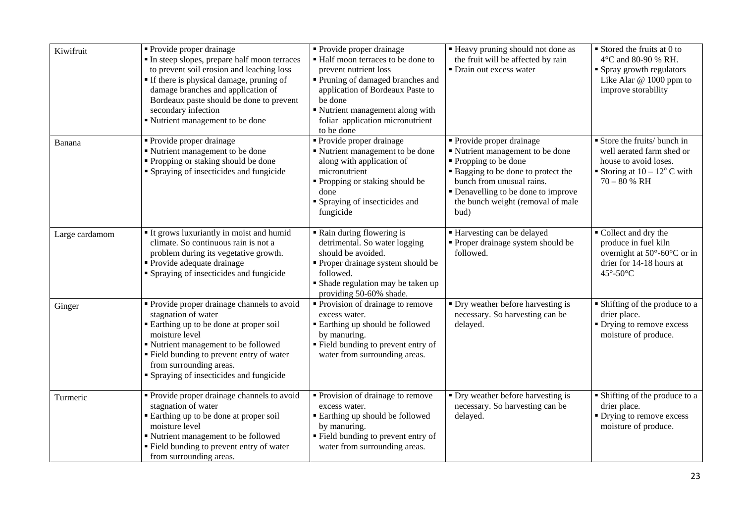| Kiwifruit      | • Provide proper drainage<br>In steep slopes, prepare half moon terraces<br>to prevent soil erosion and leaching loss<br>• If there is physical damage, pruning of<br>damage branches and application of<br>Bordeaux paste should be done to prevent<br>secondary infection<br>" Nutrient management to be done | • Provide proper drainage<br>■ Half moon terraces to be done to<br>prevent nutrient loss<br>• Pruning of damaged branches and<br>application of Bordeaux Paste to<br>be done<br>Nutrient management along with<br>foliar application micronutrient<br>to be done | " Heavy pruning should not done as<br>the fruit will be affected by rain<br>• Drain out excess water                                                                                                                                           | $\blacksquare$ Stored the fruits at 0 to<br>4°C and 80-90 % RH.<br>• Spray growth regulators<br>Like Alar $@1000$ ppm to<br>improve storability |
|----------------|-----------------------------------------------------------------------------------------------------------------------------------------------------------------------------------------------------------------------------------------------------------------------------------------------------------------|------------------------------------------------------------------------------------------------------------------------------------------------------------------------------------------------------------------------------------------------------------------|------------------------------------------------------------------------------------------------------------------------------------------------------------------------------------------------------------------------------------------------|-------------------------------------------------------------------------------------------------------------------------------------------------|
| Banana         | • Provide proper drainage<br>■ Nutrient management to be done<br>• Propping or staking should be done<br>• Spraying of insecticides and fungicide                                                                                                                                                               | • Provide proper drainage<br>" Nutrient management to be done<br>along with application of<br>micronutrient<br>" Propping or staking should be<br>done<br>Spraying of insecticides and<br>fungicide                                                              | • Provide proper drainage<br>" Nutrient management to be done<br>■ Propping to be done<br>• Bagging to be done to protect the<br>bunch from unusual rains.<br>• Denavelling to be done to improve<br>the bunch weight (removal of male<br>bud) | Store the fruits/ bunch in<br>well aerated farm shed or<br>house to avoid loses.<br>Storing at $10 - 12^{\circ}$ C with<br>$70 - 80 %$ RH       |
| Large cardamom | It grows luxuriantly in moist and humid<br>climate. So continuous rain is not a<br>problem during its vegetative growth.<br>• Provide adequate drainage<br>• Spraying of insecticides and fungicide                                                                                                             | Rain during flowering is<br>detrimental. So water logging<br>should be avoided.<br>• Proper drainage system should be<br>followed.<br>Shade regulation may be taken up<br>providing 50-60% shade.                                                                | Harvesting can be delayed<br>• Proper drainage system should be<br>followed.                                                                                                                                                                   | Collect and dry the<br>produce in fuel kiln<br>overnight at 50°-60°C or in<br>drier for 14-18 hours at<br>$45^\circ - 50^\circ$ C               |
| Ginger         | • Provide proper drainage channels to avoid<br>stagnation of water<br>• Earthing up to be done at proper soil<br>moisture level<br>• Nutrient management to be followed<br>• Field bunding to prevent entry of water<br>from surrounding areas.<br>• Spraying of insecticides and fungicide                     | • Provision of drainage to remove<br>excess water.<br><b>Earthing up should be followed</b><br>by manuring.<br>" Field bunding to prevent entry of<br>water from surrounding areas.                                                                              | • Dry weather before harvesting is<br>necessary. So harvesting can be<br>delayed.                                                                                                                                                              | • Shifting of the produce to a<br>drier place.<br>• Drying to remove excess<br>moisture of produce.                                             |
| Turmeric       | • Provide proper drainage channels to avoid<br>stagnation of water<br>" Earthing up to be done at proper soil<br>moisture level<br>" Nutrient management to be followed<br>• Field bunding to prevent entry of water<br>from surrounding areas.                                                                 | Provision of drainage to remove<br>excess water.<br>■ Earthing up should be followed<br>by manuring.<br>" Field bunding to prevent entry of<br>water from surrounding areas.                                                                                     | • Dry weather before harvesting is<br>necessary. So harvesting can be<br>delayed.                                                                                                                                                              | • Shifting of the produce to a<br>drier place.<br>• Drying to remove excess<br>moisture of produce.                                             |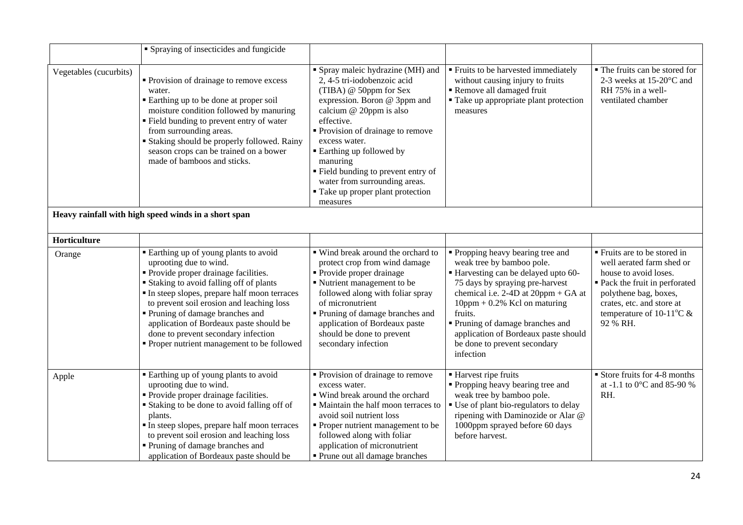|                        | • Spraying of insecticides and fungicide                                                                                                                                                                                                                                                                                                                                                                                    |                                                                                                                                                                                                                                                                                                                                                                                         |                                                                                                                                                                                                                                                                                                                                                     |                                                                                                                                                                                                                                |
|------------------------|-----------------------------------------------------------------------------------------------------------------------------------------------------------------------------------------------------------------------------------------------------------------------------------------------------------------------------------------------------------------------------------------------------------------------------|-----------------------------------------------------------------------------------------------------------------------------------------------------------------------------------------------------------------------------------------------------------------------------------------------------------------------------------------------------------------------------------------|-----------------------------------------------------------------------------------------------------------------------------------------------------------------------------------------------------------------------------------------------------------------------------------------------------------------------------------------------------|--------------------------------------------------------------------------------------------------------------------------------------------------------------------------------------------------------------------------------|
| Vegetables (cucurbits) | • Provision of drainage to remove excess<br>water.<br>• Earthing up to be done at proper soil<br>moisture condition followed by manuring<br>" Field bunding to prevent entry of water<br>from surrounding areas.<br><b>Staking should be properly followed. Rainy</b><br>season crops can be trained on a bower<br>made of bamboos and sticks.                                                                              | Spray maleic hydrazine (MH) and<br>2, 4-5 tri-iodobenzoic acid<br>(TIBA) @ 50ppm for Sex<br>expression. Boron @ 3ppm and<br>calcium @ 20ppm is also<br>effective.<br>Provision of drainage to remove<br>excess water.<br>■ Earthing up followed by<br>manuring<br>" Field bunding to prevent entry of<br>water from surrounding areas.<br>• Take up proper plant protection<br>measures | ■ Fruits to be harvested immediately<br>without causing injury to fruits<br>Remove all damaged fruit<br>• Take up appropriate plant protection<br>measures                                                                                                                                                                                          | • The fruits can be stored for<br>2-3 weeks at 15-20°C and<br>RH 75% in a well-<br>ventilated chamber                                                                                                                          |
|                        | Heavy rainfall with high speed winds in a short span                                                                                                                                                                                                                                                                                                                                                                        |                                                                                                                                                                                                                                                                                                                                                                                         |                                                                                                                                                                                                                                                                                                                                                     |                                                                                                                                                                                                                                |
| Horticulture           |                                                                                                                                                                                                                                                                                                                                                                                                                             |                                                                                                                                                                                                                                                                                                                                                                                         |                                                                                                                                                                                                                                                                                                                                                     |                                                                                                                                                                                                                                |
| Orange                 | " Earthing up of young plants to avoid<br>uprooting due to wind.<br>• Provide proper drainage facilities.<br><b>Staking to avoid falling off of plants</b><br>In steep slopes, prepare half moon terraces<br>to prevent soil erosion and leaching loss<br>• Pruning of damage branches and<br>application of Bordeaux paste should be<br>done to prevent secondary infection<br>• Proper nutrient management to be followed | ■ Wind break around the orchard to<br>protect crop from wind damage<br>• Provide proper drainage<br>Nutrient management to be<br>followed along with foliar spray<br>of micronutrient<br>Pruning of damage branches and<br>application of Bordeaux paste<br>should be done to prevent<br>secondary infection                                                                            | • Propping heavy bearing tree and<br>weak tree by bamboo pole.<br>Harvesting can be delayed upto 60-<br>75 days by spraying pre-harvest<br>chemical i.e. 2-4D at 20ppm + GA at<br>$10$ ppm + 0.2% Kcl on maturing<br>fruits.<br>Pruning of damage branches and<br>application of Bordeaux paste should<br>be done to prevent secondary<br>infection | ■ Fruits are to be stored in<br>well aerated farm shed or<br>house to avoid loses.<br>• Pack the fruit in perforated<br>polythene bag, boxes,<br>crates, etc. and store at<br>temperature of 10-11 $\mathrm{C} \&$<br>92 % RH. |
| Apple                  | " Earthing up of young plants to avoid<br>uprooting due to wind.<br>• Provide proper drainage facilities.<br>• Staking to be done to avoid falling off of<br>plants.<br>In steep slopes, prepare half moon terraces<br>to prevent soil erosion and leaching loss<br>• Pruning of damage branches and<br>application of Bordeaux paste should be                                                                             | Provision of drainage to remove<br>excess water.<br>■ Wind break around the orchard<br>· Maintain the half moon terraces to<br>avoid soil nutrient loss<br>• Proper nutrient management to be<br>followed along with foliar<br>application of micronutrient<br>• Prune out all damage branches                                                                                          | ■ Harvest ripe fruits<br>" Propping heavy bearing tree and<br>weak tree by bamboo pole.<br>" Use of plant bio-regulators to delay<br>ripening with Daminozide or Alar @<br>1000ppm sprayed before 60 days<br>before harvest.                                                                                                                        | Store fruits for 4-8 months<br>at -1.1 to 0°C and 85-90 %<br>RH.                                                                                                                                                               |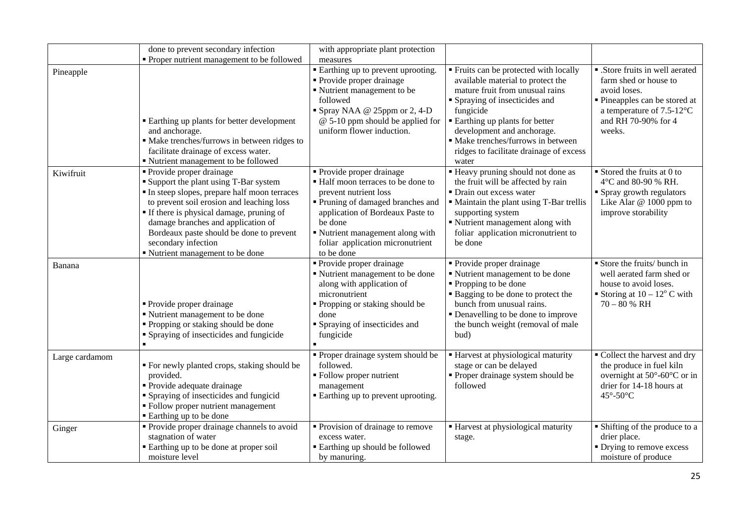|                | done to prevent secondary infection                                                                                                                                                                                                                                                                                                                            | with appropriate plant protection                                                                                                                                                                                                                              |                                                                                                                                                                                                                                                                                                                             |                                                                                                                                                                            |
|----------------|----------------------------------------------------------------------------------------------------------------------------------------------------------------------------------------------------------------------------------------------------------------------------------------------------------------------------------------------------------------|----------------------------------------------------------------------------------------------------------------------------------------------------------------------------------------------------------------------------------------------------------------|-----------------------------------------------------------------------------------------------------------------------------------------------------------------------------------------------------------------------------------------------------------------------------------------------------------------------------|----------------------------------------------------------------------------------------------------------------------------------------------------------------------------|
|                | • Proper nutrient management to be followed                                                                                                                                                                                                                                                                                                                    | measures                                                                                                                                                                                                                                                       |                                                                                                                                                                                                                                                                                                                             |                                                                                                                                                                            |
| Pineapple      | ■ Earthing up plants for better development<br>and anchorage.<br>• Make trenches/furrows in between ridges to<br>facilitate drainage of excess water.<br>• Nutrient management to be followed                                                                                                                                                                  | <b>Earthing up to prevent uprooting.</b><br>• Provide proper drainage<br>Nutrient management to be<br>followed<br>Spray NAA @ 25ppm or 2, 4-D<br>$@$ 5-10 ppm should be applied for<br>uniform flower induction.                                               | " Fruits can be protected with locally<br>available material to protect the<br>mature fruit from unusual rains<br>Spraying of insecticides and<br>fungicide<br><b>Earthing up plants for better</b><br>development and anchorage.<br>· Make trenches/furrows in between<br>ridges to facilitate drainage of excess<br>water | • .Store fruits in well aerated<br>farm shed or house to<br>avoid loses.<br>· Pineapples can be stored at<br>a temperature of $7.5-12$ °C<br>and RH 70-90% for 4<br>weeks. |
| Kiwifruit      | • Provide proper drainage<br><b>Support the plant using T-Bar system</b><br>In steep slopes, prepare half moon terraces<br>to prevent soil erosion and leaching loss<br>" If there is physical damage, pruning of<br>damage branches and application of<br>Bordeaux paste should be done to prevent<br>secondary infection<br>" Nutrient management to be done | • Provide proper drainage<br>· Half moon terraces to be done to<br>prevent nutrient loss<br>Pruning of damaged branches and<br>application of Bordeaux Paste to<br>be done<br>Nutrient management along with<br>foliar application micronutrient<br>to be done | " Heavy pruning should not done as<br>the fruit will be affected by rain<br>• Drain out excess water<br>• Maintain the plant using T-Bar trellis<br>supporting system<br>" Nutrient management along with<br>foliar application micronutrient to<br>be done                                                                 | $\blacksquare$ Stored the fruits at 0 to<br>4°C and 80-90 % RH.<br>• Spray growth regulators<br>Like Alar @ 1000 ppm to<br>improve storability                             |
| Banana         | • Provide proper drainage<br>■ Nutrient management to be done<br>• Propping or staking should be done<br>• Spraying of insecticides and fungicide                                                                                                                                                                                                              | • Provide proper drainage<br>Nutrient management to be done<br>along with application of<br>micronutrient<br>• Propping or staking should be<br>done<br>• Spraying of insecticides and<br>fungicide                                                            | • Provide proper drainage<br>" Nutrient management to be done<br>Propping to be done<br><b>Bagging to be done to protect the</b><br>bunch from unusual rains.<br>• Denavelling to be done to improve<br>the bunch weight (removal of male<br>bud)                                                                           | Store the fruits/ bunch in<br>well aerated farm shed or<br>house to avoid loses.<br>Storing at $10 - 12^{\circ}$ C with<br>$70 - 80 % RH$                                  |
| Large cardamom | • For newly planted crops, staking should be<br>provided.<br>• Provide adequate drainage<br>• Spraying of insecticides and fungicid<br>• Follow proper nutrient management<br>■ Earthing up to be done                                                                                                                                                         | • Proper drainage system should be<br>followed.<br>• Follow proper nutrient<br>management<br>" Earthing up to prevent uprooting.                                                                                                                               | ■ Harvest at physiological maturity<br>stage or can be delayed<br>Proper drainage system should be<br>followed                                                                                                                                                                                                              | • Collect the harvest and dry<br>the produce in fuel kiln<br>overnight at $50^{\circ}$ -60 $^{\circ}$ C or in<br>drier for 14-18 hours at<br>45°-50°C                      |
| Ginger         | • Provide proper drainage channels to avoid<br>stagnation of water<br>" Earthing up to be done at proper soil<br>moisture level                                                                                                                                                                                                                                | • Provision of drainage to remove<br>excess water.<br><b>Earthing up should be followed</b><br>by manuring.                                                                                                                                                    | ■ Harvest at physiological maturity<br>stage.                                                                                                                                                                                                                                                                               | • Shifting of the produce to a<br>drier place.<br>• Drying to remove excess<br>moisture of produce                                                                         |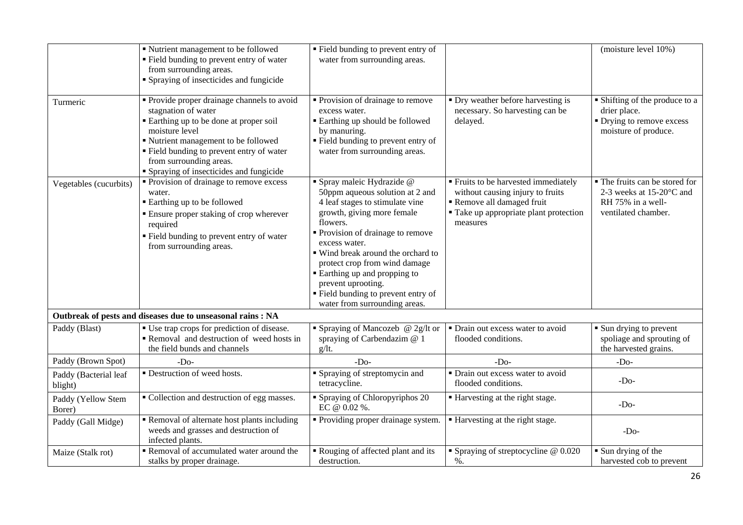|                                  | " Nutrient management to be followed<br>" Field bunding to prevent entry of water<br>from surrounding areas.<br>• Spraying of insecticides and fungicide                                                                                                                                       | " Field bunding to prevent entry of<br>water from surrounding areas.                                                                                                                                                                                                                                                                                                                                   |                                                                                                                                                            | (moisture level 10%)                                                                                   |
|----------------------------------|------------------------------------------------------------------------------------------------------------------------------------------------------------------------------------------------------------------------------------------------------------------------------------------------|--------------------------------------------------------------------------------------------------------------------------------------------------------------------------------------------------------------------------------------------------------------------------------------------------------------------------------------------------------------------------------------------------------|------------------------------------------------------------------------------------------------------------------------------------------------------------|--------------------------------------------------------------------------------------------------------|
| Turmeric                         | • Provide proper drainage channels to avoid<br>stagnation of water<br>Earthing up to be done at proper soil<br>moisture level<br>" Nutrient management to be followed<br>" Field bunding to prevent entry of water<br>from surrounding areas.<br><b>Spraying of insecticides and fungicide</b> | • Provision of drainage to remove<br>excess water.<br>■ Earthing up should be followed<br>by manuring.<br>" Field bunding to prevent entry of<br>water from surrounding areas.                                                                                                                                                                                                                         | • Dry weather before harvesting is<br>necessary. So harvesting can be<br>delayed.                                                                          | • Shifting of the produce to a<br>drier place.<br>• Drying to remove excess<br>moisture of produce.    |
| Vegetables (cucurbits)           | • Provision of drainage to remove excess<br>water.<br>■ Earthing up to be followed<br><b>Ensure proper staking of crop wherever</b><br>required<br>" Field bunding to prevent entry of water<br>from surrounding areas.                                                                        | · Spray maleic Hydrazide @<br>50ppm aqueous solution at 2 and<br>4 leaf stages to stimulate vine<br>growth, giving more female<br>flowers.<br>• Provision of drainage to remove<br>excess water.<br>■ Wind break around the orchard to<br>protect crop from wind damage<br>■ Earthing up and propping to<br>prevent uprooting.<br>" Field bunding to prevent entry of<br>water from surrounding areas. | ■ Fruits to be harvested immediately<br>without causing injury to fruits<br>Remove all damaged fruit<br>• Take up appropriate plant protection<br>measures | • The fruits can be stored for<br>2-3 weeks at 15-20°C and<br>RH 75% in a well-<br>ventilated chamber. |
|                                  | Outbreak of pests and diseases due to unseasonal rains : NA                                                                                                                                                                                                                                    |                                                                                                                                                                                                                                                                                                                                                                                                        |                                                                                                                                                            |                                                                                                        |
| Paddy (Blast)                    | ■ Use trap crops for prediction of disease.<br>Removal and destruction of weed hosts in<br>the field bunds and channels                                                                                                                                                                        | • Spraying of Mancozeb @ 2g/lt or<br>spraying of Carbendazim @ 1<br>$g/It$ .                                                                                                                                                                                                                                                                                                                           | • Drain out excess water to avoid<br>flooded conditions.                                                                                                   | • Sun drying to prevent<br>spoliage and sprouting of<br>the harvested grains.                          |
| Paddy (Brown Spot)               | $-Do-$                                                                                                                                                                                                                                                                                         | $-Do-$                                                                                                                                                                                                                                                                                                                                                                                                 | $-Do-$                                                                                                                                                     | $-Do-$                                                                                                 |
| Paddy (Bacterial leaf<br>blight) | • Destruction of weed hosts.                                                                                                                                                                                                                                                                   | <b>Spraying of streptomycin and</b><br>tetracycline.                                                                                                                                                                                                                                                                                                                                                   | • Drain out excess water to avoid<br>flooded conditions.                                                                                                   | $-Do-$                                                                                                 |
| Paddy (Yellow Stem<br>Borer)     | • Collection and destruction of egg masses.                                                                                                                                                                                                                                                    | • Spraying of Chloropyriphos 20<br>EC @ 0.02 %.                                                                                                                                                                                                                                                                                                                                                        | ■ Harvesting at the right stage.                                                                                                                           | $-Do-$                                                                                                 |
| Paddy (Gall Midge)               | Removal of alternate host plants including<br>weeds and grasses and destruction of<br>infected plants.                                                                                                                                                                                         | • Providing proper drainage system.                                                                                                                                                                                                                                                                                                                                                                    | ■ Harvesting at the right stage.                                                                                                                           | $-Do-$                                                                                                 |
| Maize (Stalk rot)                | Removal of accumulated water around the<br>stalks by proper drainage.                                                                                                                                                                                                                          | Rouging of affected plant and its<br>destruction.                                                                                                                                                                                                                                                                                                                                                      | Spraying of streptocycline $@$ 0.020<br>$\%$ .                                                                                                             | Sun drying of the<br>harvested cob to prevent                                                          |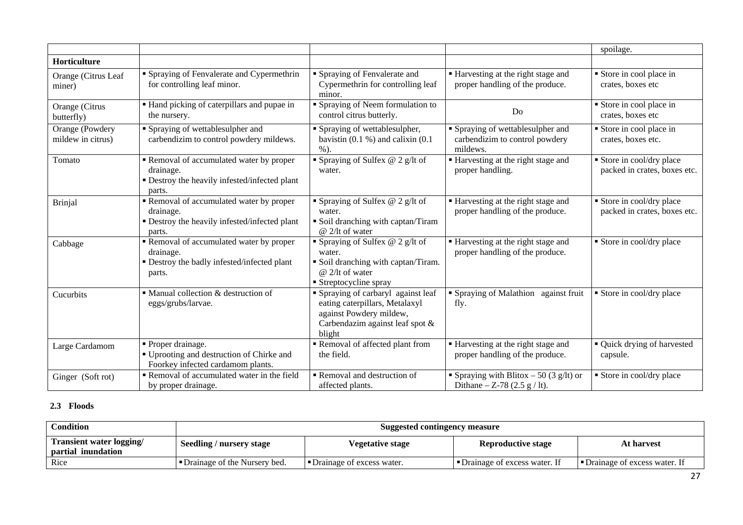|                                      |                                                                                                                |                                                                                                                                             |                                                                                 | spoilage.                                               |
|--------------------------------------|----------------------------------------------------------------------------------------------------------------|---------------------------------------------------------------------------------------------------------------------------------------------|---------------------------------------------------------------------------------|---------------------------------------------------------|
| Horticulture                         |                                                                                                                |                                                                                                                                             |                                                                                 |                                                         |
| Orange (Citrus Leaf<br>miner)        | • Spraying of Fenvalerate and Cypermethrin<br>for controlling leaf minor.                                      | • Spraying of Fenvalerate and<br>Cypermethrin for controlling leaf<br>minor.                                                                | ■ Harvesting at the right stage and<br>proper handling of the produce.          | Store in cool place in<br>crates, boxes etc             |
| Orange (Citrus<br>butterfly)         | • Hand picking of caterpillars and pupae in<br>the nursery.                                                    | Spraying of Neem formulation to<br>control citrus butterly.                                                                                 | Do                                                                              | Store in cool place in<br>crates, boxes etc             |
| Orange (Powdery<br>mildew in citrus) | • Spraying of wettablesulpher and<br>carbendizim to control powdery mildews.                                   | Spraying of wettablesulpher,<br>bavistin $(0.1 \%)$ and calixin $(0.1 \%)$<br>$%$ ).                                                        | • Spraying of wettablesulpher and<br>carbendizim to control powdery<br>mildews. | Store in cool place in<br>crates, boxes etc.            |
| Tomato                               | Removal of accumulated water by proper<br>drainage.<br>• Destroy the heavily infested/infected plant<br>parts. | Spraying of Sulfex $@$ 2 g/lt of<br>water.                                                                                                  | ■ Harvesting at the right stage and<br>proper handling.                         | Store in cool/dry place<br>packed in crates, boxes etc. |
| Brinjal                              | Removal of accumulated water by proper<br>drainage.<br>• Destroy the heavily infested/infected plant<br>parts. | Spraying of Sulfex $@$ 2 g/lt of<br>water.<br>Soil dranching with captan/Tiram<br>@ 2/lt of water                                           | ■ Harvesting at the right stage and<br>proper handling of the produce.          | Store in cool/dry place<br>packed in crates, boxes etc. |
| Cabbage                              | Removal of accumulated water by proper<br>drainage.<br>• Destroy the badly infested/infected plant<br>parts.   | Spraying of Sulfex @ 2 $g$ /It of<br>water.<br>• Soil dranching with captan/Tiram.<br>$@2/lt$ of water<br>Streptocycline spray              | ■ Harvesting at the right stage and<br>proper handling of the produce.          | Store in cool/dry place                                 |
| Cucurbits                            | $\blacksquare$ Manual collection & destruction of<br>eggs/grubs/larvae.                                        | Spraying of carbaryl against leaf<br>eating caterpillars, Metalaxyl<br>against Powdery mildew,<br>Carbendazim against leaf spot &<br>blight | • Spraying of Malathion against fruit<br>fly.                                   | Store in cool/dry place                                 |
| Large Cardamom                       | • Proper drainage.<br>" Uprooting and destruction of Chirke and<br>Foorkey infected cardamom plants.           | Removal of affected plant from<br>the field.                                                                                                | ■ Harvesting at the right stage and<br>proper handling of the produce.          | • Quick drying of harvested<br>capsule.                 |
| Ginger (Soft rot)                    | Removal of accumulated water in the field<br>by proper drainage.                                               | Removal and destruction of<br>affected plants.                                                                                              | Spraying with Blitox $-50(3 \text{ g/lt})$ or<br>Dithane $-$ Z-78 (2.5 g / lt). | Store in cool/dry place                                 |

#### **2.3 Floods**

| Condition                                             | Suggested contingency measure         |                            |                                       |                                |
|-------------------------------------------------------|---------------------------------------|----------------------------|---------------------------------------|--------------------------------|
| <b>Transient water logging/</b><br>partial inundation | Seedling / nursery stage              | Vegetative stage           | <b>Reproductive stage</b>             | At harvest                     |
| Rice                                                  | <b>I</b> Drainage of the Nursery bed. | "Drainage of excess water. | <b>I</b> Drainage of excess water. If | • Drainage of excess water. If |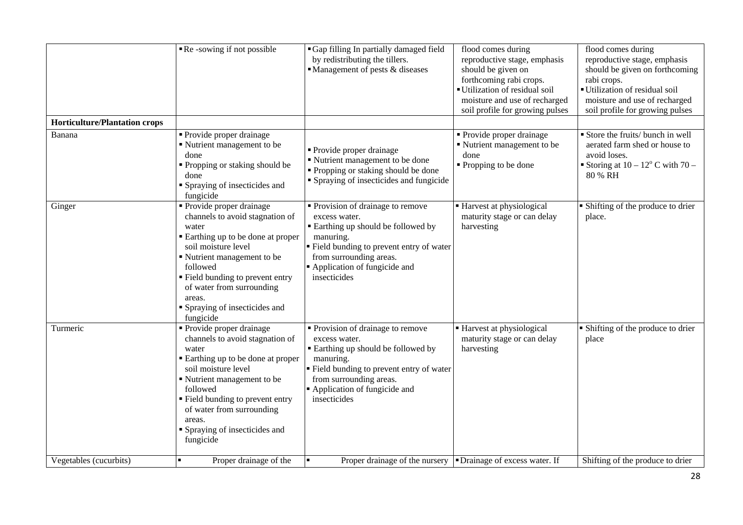|                                      | Re-sowing if not possible                                                                                                                                                                                                                                                                             | • Gap filling In partially damaged field<br>by redistributing the tillers.<br>$\blacksquare$ Management of pests & diseases                                                                                                       | flood comes during<br>reproductive stage, emphasis<br>should be given on<br>forthcoming rabi crops.<br>Utilization of residual soil<br>moisture and use of recharged<br>soil profile for growing pulses | flood comes during<br>reproductive stage, emphasis<br>should be given on forthcoming<br>rabi crops.<br>Utilization of residual soil<br>moisture and use of recharged<br>soil profile for growing pulses |
|--------------------------------------|-------------------------------------------------------------------------------------------------------------------------------------------------------------------------------------------------------------------------------------------------------------------------------------------------------|-----------------------------------------------------------------------------------------------------------------------------------------------------------------------------------------------------------------------------------|---------------------------------------------------------------------------------------------------------------------------------------------------------------------------------------------------------|---------------------------------------------------------------------------------------------------------------------------------------------------------------------------------------------------------|
| <b>Horticulture/Plantation crops</b> |                                                                                                                                                                                                                                                                                                       |                                                                                                                                                                                                                                   |                                                                                                                                                                                                         |                                                                                                                                                                                                         |
| Banana                               | • Provide proper drainage<br>Nutrient management to be<br>done<br>• Propping or staking should be<br>done<br>• Spraying of insecticides and<br>fungicide                                                                                                                                              | • Provide proper drainage<br>■ Nutrient management to be done<br>• Propping or staking should be done<br>• Spraying of insecticides and fungicide                                                                                 | $\overline{\text{Provide}}$ proper drainage<br>• Nutrient management to be<br>done<br>• Propping to be done                                                                                             | Store the fruits/ bunch in well<br>aerated farm shed or house to<br>avoid loses.<br>Storing at $10 - 12^{\circ}$ C with $70 -$<br>80 % RH                                                               |
| Ginger                               | • Provide proper drainage<br>channels to avoid stagnation of<br>water<br>■ Earthing up to be done at proper<br>soil moisture level<br>Nutrient management to be<br>followed<br>" Field bunding to prevent entry<br>of water from surrounding<br>areas.<br>Spraying of insecticides and<br>fungicide   | • Provision of drainage to remove<br>excess water.<br><b>Earthing up should be followed by</b><br>manuring.<br>Field bunding to prevent entry of water<br>from surrounding areas.<br>Application of fungicide and<br>insecticides | Harvest at physiological<br>maturity stage or can delay<br>harvesting                                                                                                                                   | • Shifting of the produce to drier<br>place.                                                                                                                                                            |
| Turmeric                             | • Provide proper drainage<br>channels to avoid stagnation of<br>water<br>■ Earthing up to be done at proper<br>soil moisture level<br>Nutrient management to be<br>followed<br>" Field bunding to prevent entry<br>of water from surrounding<br>areas.<br>• Spraying of insecticides and<br>fungicide | • Provision of drainage to remove<br>excess water.<br><b>Earthing up should be followed by</b><br>manuring.<br>Field bunding to prevent entry of water<br>from surrounding areas.<br>Application of fungicide and<br>insecticides | Harvest at physiological<br>maturity stage or can delay<br>harvesting                                                                                                                                   | • Shifting of the produce to drier<br>place                                                                                                                                                             |
| Vegetables (cucurbits)               | Proper drainage of the                                                                                                                                                                                                                                                                                | Proper drainage of the nursery <b>-Drainage of excess water.</b> If                                                                                                                                                               |                                                                                                                                                                                                         | Shifting of the produce to drier                                                                                                                                                                        |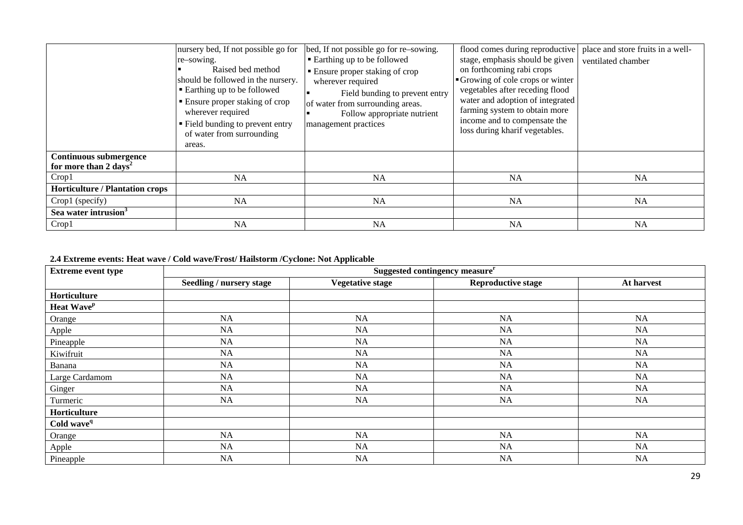|                                        | nursery bed, If not possible go for                                                                                                                                                                                        | bed, If not possible go for re-sowing.                                                                                                                                            | flood comes during reproductive                                                                                                                                                                                                        | place and store fruits in a well- |
|----------------------------------------|----------------------------------------------------------------------------------------------------------------------------------------------------------------------------------------------------------------------------|-----------------------------------------------------------------------------------------------------------------------------------------------------------------------------------|----------------------------------------------------------------------------------------------------------------------------------------------------------------------------------------------------------------------------------------|-----------------------------------|
|                                        | re-sowing.                                                                                                                                                                                                                 | • Earthing up to be followed                                                                                                                                                      | stage, emphasis should be given                                                                                                                                                                                                        | ventilated chamber                |
|                                        | Raised bed method<br>should be followed in the nursery.<br>■ Earthing up to be followed<br>■ Ensure proper staking of crop<br>wherever required<br>" Field bunding to prevent entry<br>of water from surrounding<br>areas. | • Ensure proper staking of crop<br>wherever required<br>Field bunding to prevent entry<br>of water from surrounding areas.<br>Follow appropriate nutrient<br>management practices | on forthcoming rabi crops<br>Growing of cole crops or winter<br>vegetables after receding flood<br>water and adoption of integrated<br>farming system to obtain more<br>income and to compensate the<br>loss during kharif vegetables. |                                   |
| <b>Continuous submergence</b>          |                                                                                                                                                                                                                            |                                                                                                                                                                                   |                                                                                                                                                                                                                                        |                                   |
| for more than 2 days <sup>2</sup>      |                                                                                                                                                                                                                            |                                                                                                                                                                                   |                                                                                                                                                                                                                                        |                                   |
| Crop1                                  | <b>NA</b>                                                                                                                                                                                                                  | <b>NA</b>                                                                                                                                                                         | <b>NA</b>                                                                                                                                                                                                                              | <b>NA</b>                         |
| <b>Horticulture / Plantation crops</b> |                                                                                                                                                                                                                            |                                                                                                                                                                                   |                                                                                                                                                                                                                                        |                                   |
| Crop1 (specify)                        | <b>NA</b>                                                                                                                                                                                                                  | NA                                                                                                                                                                                | <b>NA</b>                                                                                                                                                                                                                              | <b>NA</b>                         |
| Sea water intrusion <sup>3</sup>       |                                                                                                                                                                                                                            |                                                                                                                                                                                   |                                                                                                                                                                                                                                        |                                   |
| Crop1                                  | NA                                                                                                                                                                                                                         | NA                                                                                                                                                                                | <b>NA</b>                                                                                                                                                                                                                              | <b>NA</b>                         |

# **2.4 Extreme events: Heat wave / Cold wave/Frost/ Hailstorm /Cyclone: Not Applicable**

| <b>Extreme event type</b> | Suggested contingency measure <sup>r</sup> |                         |                           |            |  |
|---------------------------|--------------------------------------------|-------------------------|---------------------------|------------|--|
|                           | Seedling / nursery stage                   | <b>Vegetative stage</b> | <b>Reproductive stage</b> | At harvest |  |
| Horticulture              |                                            |                         |                           |            |  |
| Heat Wave <sup>p</sup>    |                                            |                         |                           |            |  |
| Orange                    | <b>NA</b>                                  | NA                      | NA                        | NA         |  |
| Apple                     | <b>NA</b>                                  | NA                      | NA                        | <b>NA</b>  |  |
| Pineapple                 | <b>NA</b>                                  | NA                      | NA                        | NA         |  |
| Kiwifruit                 | <b>NA</b>                                  | NA                      | NA                        | NA         |  |
| Banana                    | <b>NA</b>                                  | NA                      | NA                        | NA         |  |
| Large Cardamom            | <b>NA</b>                                  | NA                      | <b>NA</b>                 | NA         |  |
| Ginger                    | <b>NA</b>                                  | NA                      | <b>NA</b>                 | NA         |  |
| Turmeric                  | <b>NA</b>                                  | <b>NA</b>               | <b>NA</b>                 | <b>NA</b>  |  |
| Horticulture              |                                            |                         |                           |            |  |
| Cold wave <sup>q</sup>    |                                            |                         |                           |            |  |
| Orange                    | <b>NA</b>                                  | NA                      | <b>NA</b>                 | NA         |  |
| Apple                     | <b>NA</b>                                  | NA                      | <b>NA</b>                 | NA         |  |
| Pineapple                 | <b>NA</b>                                  | NA                      | NA                        | <b>NA</b>  |  |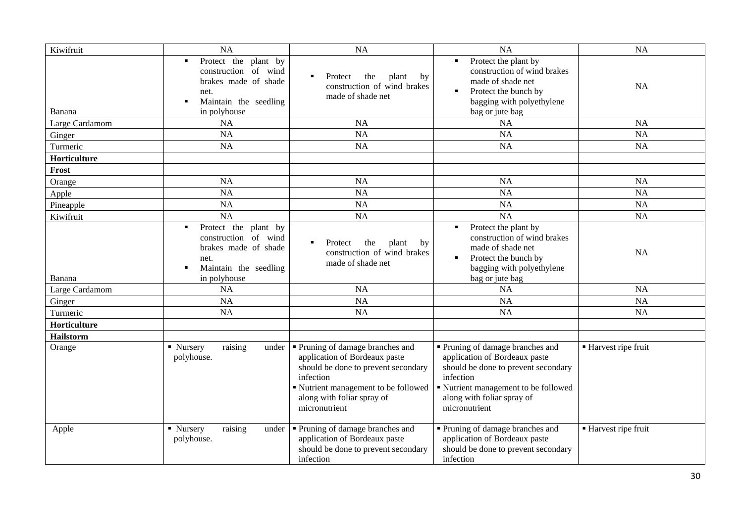| Kiwifruit        | <b>NA</b>                                                                                                                               | <b>NA</b>                                                                                                                                                                                                    | <b>NA</b>                                                                                                                                                                                                  | <b>NA</b>            |
|------------------|-----------------------------------------------------------------------------------------------------------------------------------------|--------------------------------------------------------------------------------------------------------------------------------------------------------------------------------------------------------------|------------------------------------------------------------------------------------------------------------------------------------------------------------------------------------------------------------|----------------------|
| Banana           | Protect the plant by<br>$\blacksquare$<br>construction of wind<br>brakes made of shade<br>net.<br>Maintain the seedling<br>in polyhouse | plant<br>Protect<br>the<br>by<br>$\blacksquare$<br>construction of wind brakes<br>made of shade net                                                                                                          | Protect the plant by<br>$\blacksquare$<br>construction of wind brakes<br>made of shade net<br>Protect the bunch by<br>$\blacksquare$<br>bagging with polyethylene<br>bag or jute bag                       | <b>NA</b>            |
| Large Cardamom   | <b>NA</b>                                                                                                                               | <b>NA</b>                                                                                                                                                                                                    | <b>NA</b>                                                                                                                                                                                                  | <b>NA</b>            |
| Ginger           | <b>NA</b>                                                                                                                               | <b>NA</b>                                                                                                                                                                                                    | <b>NA</b>                                                                                                                                                                                                  | <b>NA</b>            |
| Turmeric         | <b>NA</b>                                                                                                                               | <b>NA</b>                                                                                                                                                                                                    | <b>NA</b>                                                                                                                                                                                                  | <b>NA</b>            |
| Horticulture     |                                                                                                                                         |                                                                                                                                                                                                              |                                                                                                                                                                                                            |                      |
| Frost            |                                                                                                                                         |                                                                                                                                                                                                              |                                                                                                                                                                                                            |                      |
| Orange           | <b>NA</b>                                                                                                                               | <b>NA</b>                                                                                                                                                                                                    | <b>NA</b>                                                                                                                                                                                                  | NA                   |
| Apple            | <b>NA</b>                                                                                                                               | <b>NA</b>                                                                                                                                                                                                    | NA                                                                                                                                                                                                         | <b>NA</b>            |
| Pineapple        | <b>NA</b>                                                                                                                               | <b>NA</b>                                                                                                                                                                                                    | <b>NA</b>                                                                                                                                                                                                  | <b>NA</b>            |
| Kiwifruit        | <b>NA</b>                                                                                                                               | <b>NA</b>                                                                                                                                                                                                    | <b>NA</b>                                                                                                                                                                                                  | <b>NA</b>            |
| Banana           | Protect the plant by<br>$\blacksquare$<br>construction of wind<br>brakes made of shade<br>net.<br>Maintain the seedling<br>in polyhouse | Protect<br>the<br>plant<br>$\blacksquare$<br>by<br>construction of wind brakes<br>made of shade net                                                                                                          | Protect the plant by<br>construction of wind brakes<br>made of shade net<br>Protect the bunch by<br>٠<br>bagging with polyethylene<br>bag or jute bag                                                      | <b>NA</b>            |
| Large Cardamom   | <b>NA</b>                                                                                                                               | <b>NA</b>                                                                                                                                                                                                    | <b>NA</b>                                                                                                                                                                                                  | <b>NA</b>            |
| Ginger           | <b>NA</b>                                                                                                                               | <b>NA</b>                                                                                                                                                                                                    | <b>NA</b>                                                                                                                                                                                                  | <b>NA</b>            |
| Turmeric         | <b>NA</b>                                                                                                                               | <b>NA</b>                                                                                                                                                                                                    | <b>NA</b>                                                                                                                                                                                                  | <b>NA</b>            |
| Horticulture     |                                                                                                                                         |                                                                                                                                                                                                              |                                                                                                                                                                                                            |                      |
| <b>Hailstorm</b> |                                                                                                                                         |                                                                                                                                                                                                              |                                                                                                                                                                                                            |                      |
| Orange           | • Nursery<br>raising<br>under<br>polyhouse.                                                                                             | • Pruning of damage branches and<br>application of Bordeaux paste<br>should be done to prevent secondary<br>infection<br>• Nutrient management to be followed<br>along with foliar spray of<br>micronutrient | ■ Pruning of damage branches and<br>application of Bordeaux paste<br>should be done to prevent secondary<br>infection<br>Nutrient management to be followed<br>along with foliar spray of<br>micronutrient | ■ Harvest ripe fruit |
| Apple            | raising<br>• Nursery<br>under<br>polyhouse.                                                                                             | • Pruning of damage branches and<br>application of Bordeaux paste<br>should be done to prevent secondary<br>infection                                                                                        | Pruning of damage branches and<br>application of Bordeaux paste<br>should be done to prevent secondary<br>infection                                                                                        | ■ Harvest ripe fruit |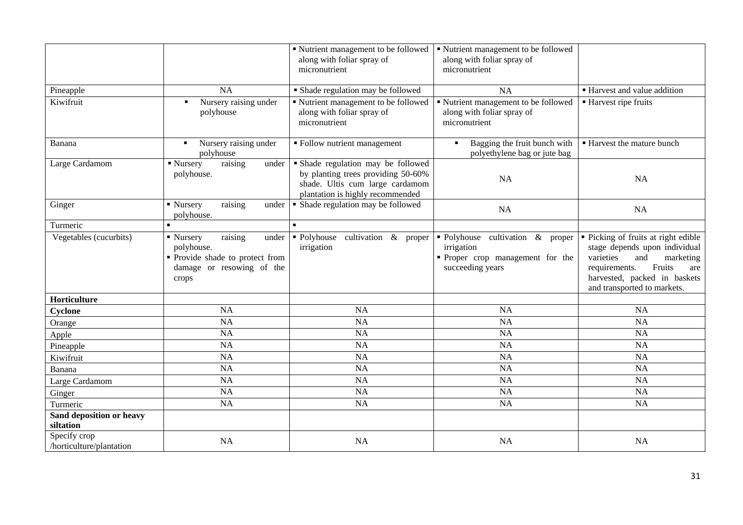|                                          |                                                                                                                      | Nutrient management to be followed<br>along with foliar spray of<br>micronutrient                                                               | ■ Nutrient management to be followed<br>along with foliar spray of<br>micronutrient                  |                                                                                                                                                                                                        |
|------------------------------------------|----------------------------------------------------------------------------------------------------------------------|-------------------------------------------------------------------------------------------------------------------------------------------------|------------------------------------------------------------------------------------------------------|--------------------------------------------------------------------------------------------------------------------------------------------------------------------------------------------------------|
| Pineapple                                | <b>NA</b>                                                                                                            | • Shade regulation may be followed                                                                                                              | <b>NA</b>                                                                                            | ■ Harvest and value addition                                                                                                                                                                           |
| Kiwifruit                                | Nursery raising under<br>$\blacksquare$<br>polyhouse                                                                 | · Nutrient management to be followed<br>along with foliar spray of<br>micronutrient                                                             | " Nutrient management to be followed<br>along with foliar spray of<br>micronutrient                  | ■ Harvest ripe fruits                                                                                                                                                                                  |
| Banana                                   | Nursery raising under<br>٠<br>polyhouse                                                                              | • Follow nutrient management                                                                                                                    | Bagging the fruit bunch with<br>$\blacksquare$<br>polyethylene bag or jute bag                       | ■ Harvest the mature bunch                                                                                                                                                                             |
| Large Cardamom                           | ■ Nursery<br>raising<br>under<br>polyhouse.                                                                          | · Shade regulation may be followed<br>by planting trees providing 50-60%<br>shade. Ultis cum large cardamom<br>plantation is highly recommended | <b>NA</b>                                                                                            | <b>NA</b>                                                                                                                                                                                              |
| Ginger                                   | $\blacksquare$ Nursery<br>raising<br>under<br>polyhouse.                                                             | • Shade regulation may be followed                                                                                                              | <b>NA</b>                                                                                            | NA                                                                                                                                                                                                     |
| Turmeric                                 |                                                                                                                      |                                                                                                                                                 |                                                                                                      |                                                                                                                                                                                                        |
| Vegetables (cucurbits)                   | raising<br>• Nursery<br>under<br>polyhouse.<br>• Provide shade to protect from<br>damage or resowing of the<br>crops | • Polyhouse<br>cultivation & proper<br>irrigation                                                                                               | · Polyhouse cultivation & proper<br>irrigation<br>Proper crop management for the<br>succeeding years | • Picking of fruits at right edible<br>stage depends upon individual<br>varieties<br>and<br>marketing<br>Fruits<br>requirements.<br>are<br>harvested, packed in baskets<br>and transported to markets. |
| Horticulture                             |                                                                                                                      |                                                                                                                                                 |                                                                                                      |                                                                                                                                                                                                        |
| Cyclone                                  | NA                                                                                                                   | NA                                                                                                                                              | NA                                                                                                   | <b>NA</b>                                                                                                                                                                                              |
| Orange                                   | NA                                                                                                                   | NA                                                                                                                                              | NA                                                                                                   | <b>NA</b>                                                                                                                                                                                              |
| Apple                                    | NA                                                                                                                   | NA                                                                                                                                              | NA                                                                                                   | NA                                                                                                                                                                                                     |
| Pineapple                                | NA                                                                                                                   | NA                                                                                                                                              | NA                                                                                                   | NA                                                                                                                                                                                                     |
| Kiwifruit                                | NA                                                                                                                   | NA                                                                                                                                              | <b>NA</b>                                                                                            | <b>NA</b>                                                                                                                                                                                              |
| Banana                                   | <b>NA</b>                                                                                                            | NA                                                                                                                                              | NA                                                                                                   | <b>NA</b>                                                                                                                                                                                              |
| Large Cardamom                           | NA                                                                                                                   | <b>NA</b>                                                                                                                                       | NA                                                                                                   | <b>NA</b>                                                                                                                                                                                              |
| Ginger                                   | NA                                                                                                                   | NA                                                                                                                                              | NA                                                                                                   | NA                                                                                                                                                                                                     |
| Turmeric                                 | NA                                                                                                                   | NA                                                                                                                                              | NA                                                                                                   | <b>NA</b>                                                                                                                                                                                              |
| Sand deposition or heavy<br>siltation    |                                                                                                                      |                                                                                                                                                 |                                                                                                      |                                                                                                                                                                                                        |
| Specify crop<br>/horticulture/plantation | NA                                                                                                                   | <b>NA</b>                                                                                                                                       | NA                                                                                                   | NA                                                                                                                                                                                                     |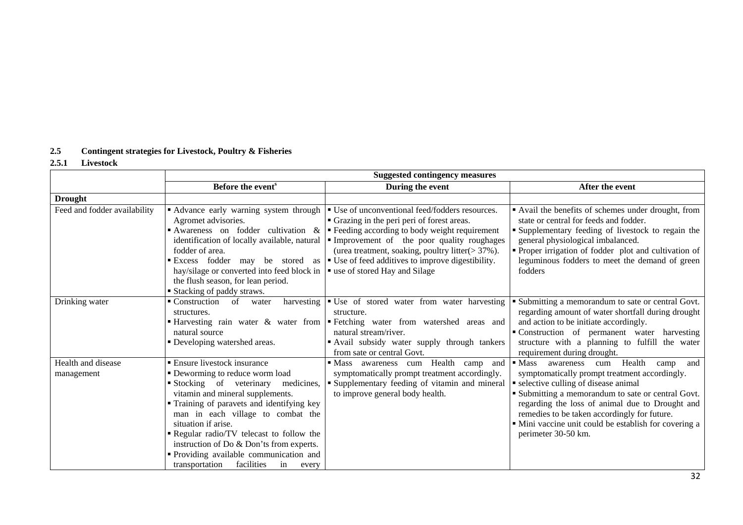# **2.5 Contingent strategies for Livestock, Poultry & Fisheries**

# **2.5.1 Livestock**

|                                  | <b>Suggested contingency measures</b>                                                                                                                                                                                                                                                                                                                                                                                                 |                                                                                                                                                                                                                                                                                                                                          |                                                                                                                                                                                                                                                                                                                                                                                                   |
|----------------------------------|---------------------------------------------------------------------------------------------------------------------------------------------------------------------------------------------------------------------------------------------------------------------------------------------------------------------------------------------------------------------------------------------------------------------------------------|------------------------------------------------------------------------------------------------------------------------------------------------------------------------------------------------------------------------------------------------------------------------------------------------------------------------------------------|---------------------------------------------------------------------------------------------------------------------------------------------------------------------------------------------------------------------------------------------------------------------------------------------------------------------------------------------------------------------------------------------------|
|                                  | Before the event <sup>s</sup>                                                                                                                                                                                                                                                                                                                                                                                                         | During the event                                                                                                                                                                                                                                                                                                                         | After the event                                                                                                                                                                                                                                                                                                                                                                                   |
| <b>Drought</b>                   |                                                                                                                                                                                                                                                                                                                                                                                                                                       |                                                                                                                                                                                                                                                                                                                                          |                                                                                                                                                                                                                                                                                                                                                                                                   |
| Feed and fodder availability     | Advance early warning system through<br>Agromet advisories.<br>Awareness on fodder cultivation &<br>identification of locally available, natural<br>fodder of area.<br>Excess fodder may be stored as<br>hay/silage or converted into feed block in<br>the flush season, for lean period.<br>Stacking of paddy straws.                                                                                                                | • Use of unconventional feed/fodders resources.<br>• Grazing in the peri peri of forest areas.<br>• Feeding according to body weight requirement<br>Improvement of the poor quality roughages<br>(urea treatment, soaking, poultry litter(> 37%).<br>• Use of feed additives to improve digestibility.<br>■ use of stored Hay and Silage | • Avail the benefits of schemes under drought, from<br>state or central for feeds and fodder.<br>Supplementary feeding of livestock to regain the<br>general physiological imbalanced.<br>• Proper irrigation of fodder plot and cultivation of<br>leguminous fodders to meet the demand of green<br>fodders                                                                                      |
| Drinking water                   | • Construction<br>harvesting<br>of<br>water<br>structures.<br>■ Harvesting rain water & water from<br>natural source<br>• Developing watershed areas.                                                                                                                                                                                                                                                                                 | Use of stored water from water harvesting<br>structure.<br>Fetching water from watershed areas and<br>natural stream/river.<br>" Avail subsidy water supply through tankers<br>from sate or central Govt.                                                                                                                                | • Submitting a memorandum to sate or central Govt.<br>regarding amount of water shortfall during drought<br>and action to be initiate accordingly.<br>• Construction of permanent water harvesting<br>structure with a planning to fulfill the water<br>requirement during drought.                                                                                                               |
| Health and disease<br>management | <b>Ensure livestock insurance</b><br>• Deworming to reduce worm load<br>Stocking of veterinary medicines,<br>vitamin and mineral supplements.<br>• Training of paravets and identifying key<br>man in each village to combat the<br>situation if arise.<br>Regular radio/TV telecast to follow the<br>instruction of Do & Don'ts from experts.<br>" Providing available communication and<br>transportation facilities<br>in<br>every | Health<br>$\blacksquare$ Mass<br>awareness cum<br>camp<br>and<br>symptomatically prompt treatment accordingly.<br>• Supplementary feeding of vitamin and mineral<br>to improve general body health.                                                                                                                                      | $\blacksquare$ Mass<br>Health<br>awareness<br>cum<br>and<br>camp<br>symptomatically prompt treatment accordingly.<br>• selective culling of disease animal<br>Submitting a memorandum to sate or central Govt.<br>regarding the loss of animal due to Drought and<br>remedies to be taken accordingly for future.<br>• Mini vaccine unit could be establish for covering a<br>perimeter 30-50 km. |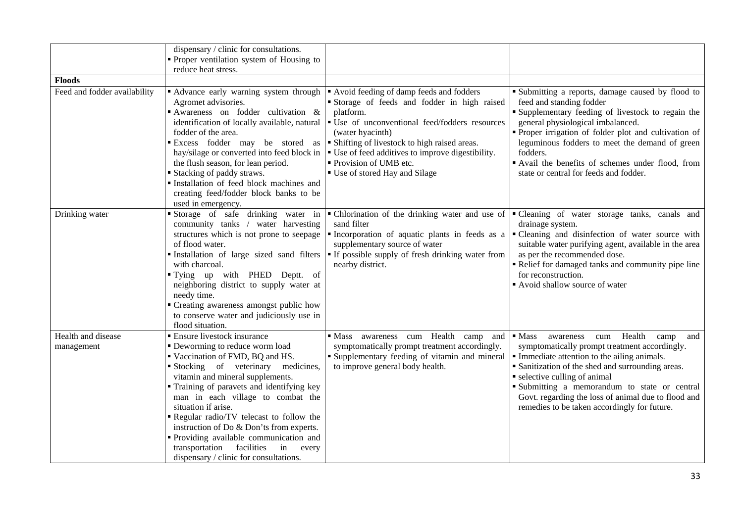|                                  | dispensary / clinic for consultations.<br>• Proper ventilation system of Housing to<br>reduce heat stress.                                                                                                                                                                                                                                                                                                                                                                                                       |                                                                                                                                                                                                                                                                                                                                             |                                                                                                                                                                                                                                                                                                                                                                                                                 |
|----------------------------------|------------------------------------------------------------------------------------------------------------------------------------------------------------------------------------------------------------------------------------------------------------------------------------------------------------------------------------------------------------------------------------------------------------------------------------------------------------------------------------------------------------------|---------------------------------------------------------------------------------------------------------------------------------------------------------------------------------------------------------------------------------------------------------------------------------------------------------------------------------------------|-----------------------------------------------------------------------------------------------------------------------------------------------------------------------------------------------------------------------------------------------------------------------------------------------------------------------------------------------------------------------------------------------------------------|
| <b>Floods</b>                    |                                                                                                                                                                                                                                                                                                                                                                                                                                                                                                                  |                                                                                                                                                                                                                                                                                                                                             |                                                                                                                                                                                                                                                                                                                                                                                                                 |
| Feed and fodder availability     | Advance early warning system through<br>Agromet advisories.<br>Awareness on fodder cultivation &<br>identification of locally available, natural<br>fodder of the area.<br>Excess fodder may be stored as<br>hay/silage or converted into feed block in<br>the flush season, for lean period.<br>Stacking of paddy straws.<br>Installation of feed block machines and<br>creating feed/fodder block banks to be<br>used in emergency.                                                                            | Avoid feeding of damp feeds and fodders<br>Storage of feeds and fodder in high raised<br>platform.<br>• Use of unconventional feed/fodders resources<br>(water hyacinth)<br>• Shifting of livestock to high raised areas.<br>• Use of feed additives to improve digestibility.<br>• Provision of UMB etc.<br>■ Use of stored Hay and Silage | " Submitting a reports, damage caused by flood to<br>feed and standing fodder<br>• Supplementary feeding of livestock to regain the<br>general physiological imbalanced.<br>• Proper irrigation of folder plot and cultivation of<br>leguminous fodders to meet the demand of green<br>fodders.<br>Avail the benefits of schemes under flood, from<br>state or central for feeds and fodder.                    |
| Drinking water                   | Storage of safe drinking water in<br>community tanks / water harvesting<br>structures which is not prone to seepage<br>of flood water.<br>Installation of large sized sand filters<br>with charcoal.<br>"Tying up with PHED Deptt. of<br>neighboring district to supply water at<br>needy time.<br>• Creating awareness amongst public how<br>to conserve water and judiciously use in<br>flood situation.                                                                                                       | • Chlorination of the drinking water and use of<br>sand filter<br>Incorporation of aquatic plants in feeds as a<br>supplementary source of water<br><b>If possible supply of fresh drinking water from</b><br>nearby district.                                                                                                              | "Cleaning of water storage tanks, canals and<br>drainage system.<br>• Cleaning and disinfection of water source with<br>suitable water purifying agent, available in the area<br>as per the recommended dose.<br>Relief for damaged tanks and community pipe line<br>for reconstruction.<br>Avoid shallow source of water                                                                                       |
| Health and disease<br>management | <b>Ensure livestock insurance</b><br>• Deworming to reduce worm load<br>Vaccination of FMD, BQ and HS.<br>Stocking of veterinary medicines,<br>vitamin and mineral supplements.<br>Training of paravets and identifying key<br>man in each village to combat the<br>situation if arise.<br>Regular radio/TV telecast to follow the<br>instruction of Do & Don'ts from experts.<br>Providing available communication and<br>transportation<br>facilities<br>in<br>every<br>dispensary / clinic for consultations. | awareness cum Health<br>$\blacksquare$ Mass<br>camp<br>and<br>symptomatically prompt treatment accordingly.<br>" Supplementary feeding of vitamin and mineral<br>to improve general body health.                                                                                                                                            | $\blacksquare$ Mass<br>Health<br>awareness<br>cum<br>camp<br>and<br>symptomatically prompt treatment accordingly.<br>• Immediate attention to the ailing animals.<br>• Sanitization of the shed and surrounding areas.<br>• selective culling of animal<br>· Submitting a memorandum to state or central<br>Govt. regarding the loss of animal due to flood and<br>remedies to be taken accordingly for future. |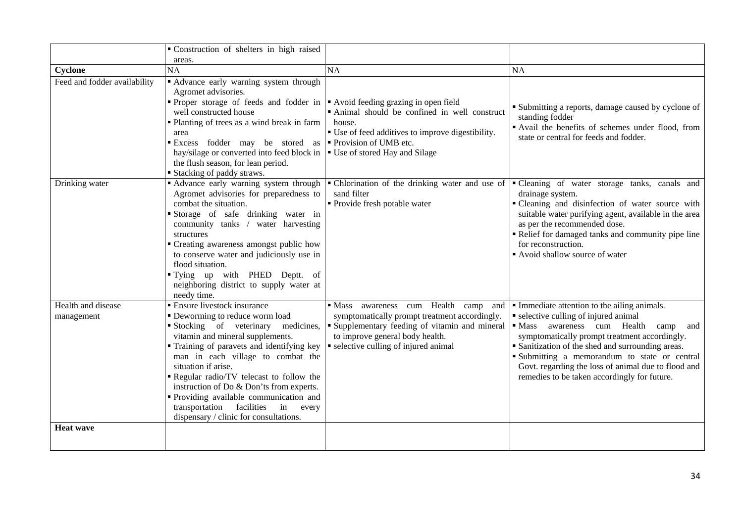|                                  | " Construction of shelters in high raised                                                                                                                                                                                                                                                                                                                                                                                                                                       |                                                                                                                                                                                                                                     |                                                                                                                                                                                                                                                                                                                                                                                              |
|----------------------------------|---------------------------------------------------------------------------------------------------------------------------------------------------------------------------------------------------------------------------------------------------------------------------------------------------------------------------------------------------------------------------------------------------------------------------------------------------------------------------------|-------------------------------------------------------------------------------------------------------------------------------------------------------------------------------------------------------------------------------------|----------------------------------------------------------------------------------------------------------------------------------------------------------------------------------------------------------------------------------------------------------------------------------------------------------------------------------------------------------------------------------------------|
|                                  | areas.                                                                                                                                                                                                                                                                                                                                                                                                                                                                          |                                                                                                                                                                                                                                     |                                                                                                                                                                                                                                                                                                                                                                                              |
| Cyclone                          | <b>NA</b>                                                                                                                                                                                                                                                                                                                                                                                                                                                                       | NA                                                                                                                                                                                                                                  | NA                                                                                                                                                                                                                                                                                                                                                                                           |
| Feed and fodder availability     | Advance early warning system through<br>Agromet advisories.<br>• Proper storage of feeds and fodder in $\blacktriangleright$ Avoid feeding grazing in open field<br>well constructed house<br>• Planting of trees as a wind break in farm<br>area<br>Excess fodder may be stored as <b>P</b> rovision of UMB etc.<br>hay/silage or converted into feed block in   Use of stored Hay and Silage<br>the flush season, for lean period.<br><b>Stacking of paddy straws.</b>        | · Animal should be confined in well construct<br>house.<br>" Use of feed additives to improve digestibility.                                                                                                                        | • Submitting a reports, damage caused by cyclone of<br>standing fodder<br>Avail the benefits of schemes under flood, from<br>state or central for feeds and fodder.                                                                                                                                                                                                                          |
| Drinking water                   | Advance early warning system through<br>Agromet advisories for preparedness to<br>combat the situation.<br>Storage of safe drinking water in<br>community tanks / water harvesting<br>structures<br>• Creating awareness amongst public how<br>to conserve water and judiciously use in<br>flood situation.<br>"Tying up with PHED Deptt. of<br>neighboring district to supply water at<br>needy time.                                                                          | - Chlorination of the drinking water and use of<br>sand filter<br>· Provide fresh potable water                                                                                                                                     | "Cleaning of water storage tanks, canals and<br>drainage system.<br>• Cleaning and disinfection of water source with<br>suitable water purifying agent, available in the area<br>as per the recommended dose.<br>Relief for damaged tanks and community pipe line<br>for reconstruction.<br>Avoid shallow source of water                                                                    |
| Health and disease<br>management | <b>Ensure livestock insurance</b><br>• Deworming to reduce worm load<br>Stocking of veterinary<br>medicines,<br>vitamin and mineral supplements.<br>" Training of paravets and identifying key<br>man in each village to combat the<br>situation if arise.<br>Regular radio/TV telecast to follow the<br>instruction of Do & Don'ts from experts.<br>" Providing available communication and<br>transportation facilities<br>in every<br>dispensary / clinic for consultations. | awareness cum Health camp and<br>$\blacksquare$ Mass<br>symptomatically prompt treatment accordingly.<br>" Supplementary feeding of vitamin and mineral<br>to improve general body health.<br>• selective culling of injured animal | Immediate attention to the ailing animals.<br>• selective culling of injured animal<br>· Mass awareness cum Health camp<br>and<br>symptomatically prompt treatment accordingly.<br>• Sanitization of the shed and surrounding areas.<br>· Submitting a memorandum to state or central<br>Govt. regarding the loss of animal due to flood and<br>remedies to be taken accordingly for future. |
| <b>Heat wave</b>                 |                                                                                                                                                                                                                                                                                                                                                                                                                                                                                 |                                                                                                                                                                                                                                     |                                                                                                                                                                                                                                                                                                                                                                                              |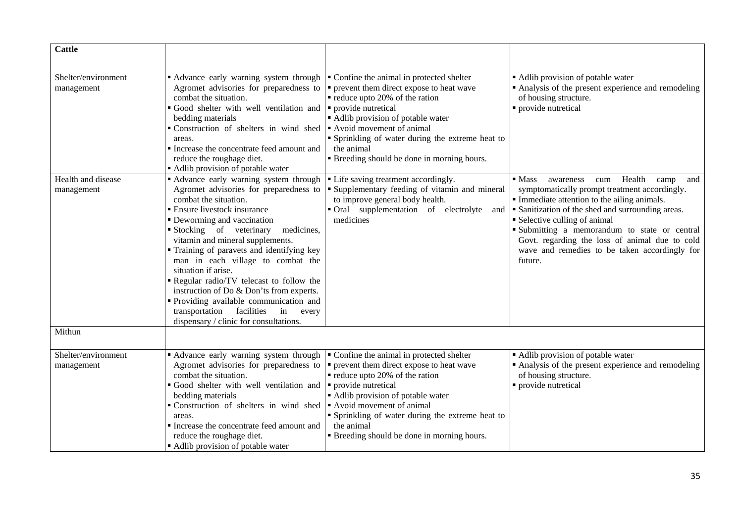| <b>Cattle</b>                     |                                                                                                                                                                                                                                                                                                                                                                                                                                                                                                                                                                                           |                                                                                                                                                                                                                                                                                                                                                                                                                         |                                                                                                                                                                                                                                                                                                                                                                                                                      |
|-----------------------------------|-------------------------------------------------------------------------------------------------------------------------------------------------------------------------------------------------------------------------------------------------------------------------------------------------------------------------------------------------------------------------------------------------------------------------------------------------------------------------------------------------------------------------------------------------------------------------------------------|-------------------------------------------------------------------------------------------------------------------------------------------------------------------------------------------------------------------------------------------------------------------------------------------------------------------------------------------------------------------------------------------------------------------------|----------------------------------------------------------------------------------------------------------------------------------------------------------------------------------------------------------------------------------------------------------------------------------------------------------------------------------------------------------------------------------------------------------------------|
| Shelter/environment<br>management | Advance early warning system through<br>Agromet advisories for preparedness to<br>combat the situation.<br>Good shelter with well ventilation and<br>bedding materials<br>• Construction of shelters in wind shed • Avoid movement of animal<br>areas.<br>Increase the concentrate feed amount and<br>reduce the roughage diet.<br>• Adlib provision of potable water                                                                                                                                                                                                                     | Confine the animal in protected shelter<br>• prevent them direct expose to heat wave<br>• reduce upto 20% of the ration<br>provide nutretical<br>Adlib provision of potable water<br>• Sprinkling of water during the extreme heat to<br>the animal<br>" Breeding should be done in morning hours.                                                                                                                      | • Adlib provision of potable water<br>• Analysis of the present experience and remodeling<br>of housing structure.<br>• provide nutretical                                                                                                                                                                                                                                                                           |
| Health and disease<br>management  | • Advance early warning system through<br>Agromet advisories for preparedness to<br>combat the situation.<br>■ Ensure livestock insurance<br>• Deworming and vaccination<br>Stocking of veterinary<br>medicines,<br>vitamin and mineral supplements.<br>" Training of paravets and identifying key<br>man in each village to combat the<br>situation if arise.<br>Regular radio/TV telecast to follow the<br>instruction of Do & Don'ts from experts.<br>" Providing available communication and<br>facilities<br>transportation<br>in<br>every<br>dispensary / clinic for consultations. | • Life saving treatment accordingly.<br>Supplementary feeding of vitamin and mineral<br>to improve general body health.<br>• Oral supplementation of electrolyte<br>and<br>medicines                                                                                                                                                                                                                                    | $\blacksquare$ Mass<br>Health<br>awareness<br>cum<br>camp<br>and<br>symptomatically prompt treatment accordingly.<br>• Immediate attention to the ailing animals.<br>Sanitization of the shed and surrounding areas.<br>• Selective culling of animal<br>· Submitting a memorandum to state or central<br>Govt. regarding the loss of animal due to cold<br>wave and remedies to be taken accordingly for<br>future. |
| Mithun                            |                                                                                                                                                                                                                                                                                                                                                                                                                                                                                                                                                                                           |                                                                                                                                                                                                                                                                                                                                                                                                                         |                                                                                                                                                                                                                                                                                                                                                                                                                      |
| Shelter/environment<br>management | Advance early warning system through<br>combat the situation.<br>Good shelter with well ventilation and<br>bedding materials<br>Construction of shelters in wind shed<br>areas.<br>Increase the concentrate feed amount and<br>reduce the roughage diet.<br>• Adlib provision of potable water                                                                                                                                                                                                                                                                                            | Confine the animal in protected shelter<br>Agromet advisories for preparedness to $\vert \cdot \vert$ prevent them direct expose to heat wave<br>$\blacksquare$ reduce upto 20% of the ration<br>• provide nutretical<br>• Adlib provision of potable water<br>Avoid movement of animal<br>" Sprinkling of water during the extreme heat to<br>the animal<br><b>Example 1</b> Breeding should be done in morning hours. | • Adlib provision of potable water<br>Analysis of the present experience and remodeling<br>of housing structure.<br>• provide nutretical                                                                                                                                                                                                                                                                             |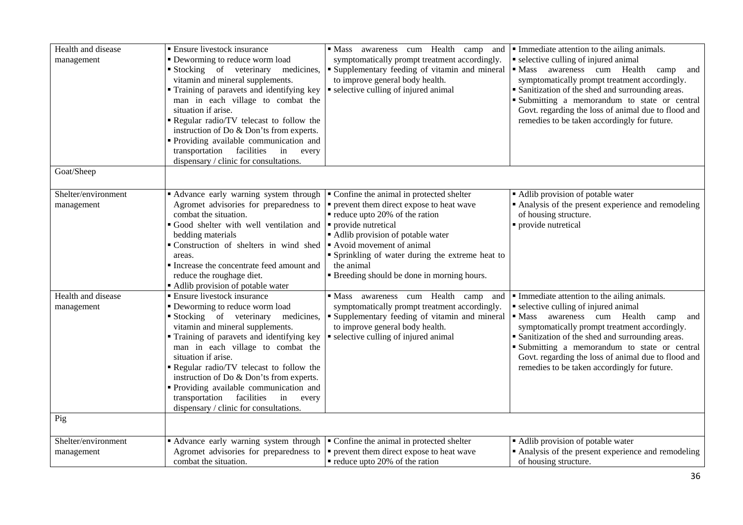| Health and disease<br>management  | <b>Ensure livestock insurance</b><br>• Deworming to reduce worm load<br>Stocking of veterinary medicines,<br>vitamin and mineral supplements.<br>Training of paravets and identifying key<br>man in each village to combat the<br>situation if arise.<br>Regular radio/TV telecast to follow the<br>instruction of Do & Don'ts from experts.                                                                                                                                 | · Mass awareness cum Health camp and<br>symptomatically prompt treatment accordingly.<br>Supplementary feeding of vitamin and mineral<br>to improve general body health.<br>• selective culling of injured animal                                                              | Immediate attention to the ailing animals.<br>• selective culling of injured animal<br>Mass awareness cum Health camp<br>and<br>symptomatically prompt treatment accordingly.<br>• Sanitization of the shed and surrounding areas.<br>Submitting a memorandum to state or central<br>Govt. regarding the loss of animal due to flood and<br>remedies to be taken accordingly for future.                 |
|-----------------------------------|------------------------------------------------------------------------------------------------------------------------------------------------------------------------------------------------------------------------------------------------------------------------------------------------------------------------------------------------------------------------------------------------------------------------------------------------------------------------------|--------------------------------------------------------------------------------------------------------------------------------------------------------------------------------------------------------------------------------------------------------------------------------|----------------------------------------------------------------------------------------------------------------------------------------------------------------------------------------------------------------------------------------------------------------------------------------------------------------------------------------------------------------------------------------------------------|
|                                   | " Providing available communication and<br>transportation<br>facilities<br>in every<br>dispensary / clinic for consultations.                                                                                                                                                                                                                                                                                                                                                |                                                                                                                                                                                                                                                                                |                                                                                                                                                                                                                                                                                                                                                                                                          |
| Goat/Sheep                        |                                                                                                                                                                                                                                                                                                                                                                                                                                                                              |                                                                                                                                                                                                                                                                                |                                                                                                                                                                                                                                                                                                                                                                                                          |
| Shelter/environment<br>management | • Advance early warning system through $\vert \cdot \vert$ Confine the animal in protected shelter<br>Agromet advisories for preparedness to<br>combat the situation.<br>Good shelter with well ventilation and<br>bedding materials<br>■ Construction of shelters in wind shed  ■ Avoid movement of animal<br>areas.<br>Increase the concentrate feed amount and<br>reduce the roughage diet.<br>Adlib provision of potable water                                           | $\bullet$ prevent them direct expose to heat wave<br>reduce upto 20% of the ration<br>provide nutretical<br>• Adlib provision of potable water<br>" Sprinkling of water during the extreme heat to<br>the animal<br><b>Example 1</b> Breeding should be done in morning hours. | • Adlib provision of potable water<br>• Analysis of the present experience and remodeling<br>of housing structure.<br>provide nutretical                                                                                                                                                                                                                                                                 |
| Health and disease<br>management  | <b>Ensure livestock insurance</b><br>• Deworming to reduce worm load<br>Stocking of veterinary medicines,<br>vitamin and mineral supplements.<br>" Training of paravets and identifying key<br>man in each village to combat the<br>situation if arise.<br>Regular radio/TV telecast to follow the<br>instruction of Do & Don'ts from experts.<br>" Providing available communication and<br>transportation facilities in<br>every<br>dispensary / clinic for consultations. | Mass awareness cum Health camp and<br>symptomatically prompt treatment accordingly.<br>" Supplementary feeding of vitamin and mineral<br>to improve general body health.<br>• selective culling of injured animal                                                              | Immediate attention to the ailing animals.<br>• selective culling of injured animal<br>$\blacksquare$ Mass<br>awareness cum Health camp<br>and<br>symptomatically prompt treatment accordingly.<br>Sanitization of the shed and surrounding areas.<br>Submitting a memorandum to state or central<br>Govt. regarding the loss of animal due to flood and<br>remedies to be taken accordingly for future. |
| Pig                               |                                                                                                                                                                                                                                                                                                                                                                                                                                                                              |                                                                                                                                                                                                                                                                                |                                                                                                                                                                                                                                                                                                                                                                                                          |
| Shelter/environment<br>management | Advance early warning system through<br>Agromet advisories for preparedness to<br>combat the situation.                                                                                                                                                                                                                                                                                                                                                                      | • Confine the animal in protected shelter<br>• prevent them direct expose to heat wave<br>$\blacksquare$ reduce upto 20% of the ration                                                                                                                                         | • Adlib provision of potable water<br>Analysis of the present experience and remodeling<br>of housing structure.                                                                                                                                                                                                                                                                                         |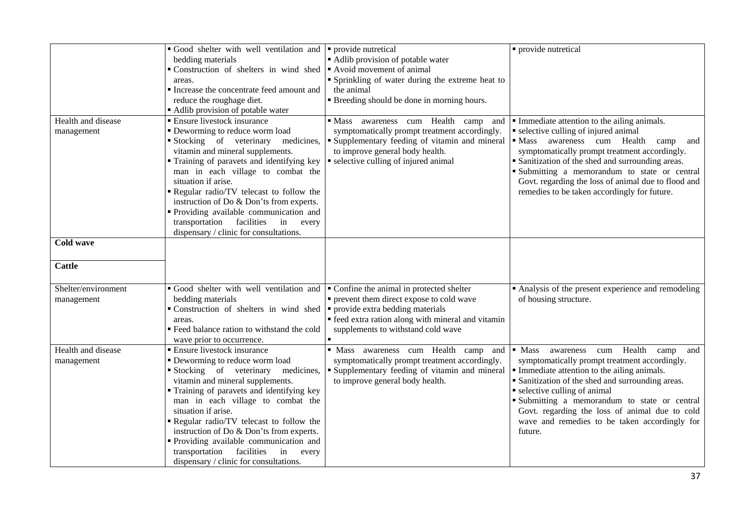|                     | Good shelter with well ventilation and                                | provide nutretical                                                                              | · provide nutretical                                                                               |
|---------------------|-----------------------------------------------------------------------|-------------------------------------------------------------------------------------------------|----------------------------------------------------------------------------------------------------|
|                     | bedding materials                                                     | • Adlib provision of potable water                                                              |                                                                                                    |
|                     | Construction of shelters in wind shed                                 | Avoid movement of animal                                                                        |                                                                                                    |
|                     | areas.                                                                | " Sprinkling of water during the extreme heat to<br>the animal                                  |                                                                                                    |
|                     | Increase the concentrate feed amount and                              |                                                                                                 |                                                                                                    |
|                     | reduce the roughage diet.                                             | " Breeding should be done in morning hours.                                                     |                                                                                                    |
| Health and disease  | Adlib provision of potable water<br><b>Ensure livestock insurance</b> |                                                                                                 |                                                                                                    |
|                     |                                                                       | Mass awareness cum Health camp<br>and                                                           | • Immediate attention to the ailing animals.                                                       |
| management          | • Deworming to reduce worm load<br>Stocking of veterinary medicines,  | symptomatically prompt treatment accordingly.<br>• Supplementary feeding of vitamin and mineral | selective culling of injured animal<br>· Mass awareness cum Health camp                            |
|                     | vitamin and mineral supplements.                                      | to improve general body health.                                                                 | and                                                                                                |
|                     | Training of paravets and identifying key                              | • selective culling of injured animal                                                           | symptomatically prompt treatment accordingly.<br>• Sanitization of the shed and surrounding areas. |
|                     | man in each village to combat the                                     |                                                                                                 | Submitting a memorandum to state or central                                                        |
|                     | situation if arise.                                                   |                                                                                                 | Govt. regarding the loss of animal due to flood and                                                |
|                     | Regular radio/TV telecast to follow the                               |                                                                                                 | remedies to be taken accordingly for future.                                                       |
|                     | instruction of Do & Don'ts from experts.                              |                                                                                                 |                                                                                                    |
|                     | Providing available communication and                                 |                                                                                                 |                                                                                                    |
|                     | transportation facilities<br>in<br>every                              |                                                                                                 |                                                                                                    |
|                     | dispensary / clinic for consultations.                                |                                                                                                 |                                                                                                    |
| <b>Cold wave</b>    |                                                                       |                                                                                                 |                                                                                                    |
|                     |                                                                       |                                                                                                 |                                                                                                    |
| <b>Cattle</b>       |                                                                       |                                                                                                 |                                                                                                    |
| Shelter/environment | Good shelter with well ventilation and                                | • Confine the animal in protected shelter                                                       | • Analysis of the present experience and remodeling                                                |
| management          | bedding materials                                                     | • prevent them direct expose to cold wave                                                       | of housing structure.                                                                              |
|                     | Construction of shelters in wind shed                                 | • provide extra bedding materials                                                               |                                                                                                    |
|                     | areas.                                                                | • feed extra ration along with mineral and vitamin                                              |                                                                                                    |
|                     | Feed balance ration to withstand the cold                             | supplements to withstand cold wave                                                              |                                                                                                    |
|                     | wave prior to occurrence.                                             |                                                                                                 |                                                                                                    |
| Health and disease  | <b>Ensure livestock insurance</b>                                     | · Mass awareness cum Health camp and                                                            | $\blacksquare$ Mass<br>Health<br>awareness<br>cum<br>camp<br>and                                   |
| management          | • Deworming to reduce worm load                                       | symptomatically prompt treatment accordingly.                                                   | symptomatically prompt treatment accordingly.                                                      |
|                     | Stocking of veterinary medicines,                                     | " Supplementary feeding of vitamin and mineral                                                  | Immediate attention to the ailing animals.                                                         |
|                     | vitamin and mineral supplements.                                      | to improve general body health.                                                                 | • Sanitization of the shed and surrounding areas.                                                  |
|                     | Training of paravets and identifying key                              |                                                                                                 | • selective culling of animal                                                                      |
|                     | man in each village to combat the                                     |                                                                                                 | Submitting a memorandum to state or central                                                        |
|                     | situation if arise.                                                   |                                                                                                 | Govt. regarding the loss of animal due to cold                                                     |
|                     | Regular radio/TV telecast to follow the                               |                                                                                                 | wave and remedies to be taken accordingly for                                                      |
|                     | instruction of Do & Don'ts from experts.                              |                                                                                                 | future.                                                                                            |
|                     | Providing available communication and                                 |                                                                                                 |                                                                                                    |
|                     | transportation<br>facilities<br>in<br>every                           |                                                                                                 |                                                                                                    |
|                     | dispensary / clinic for consultations.                                |                                                                                                 |                                                                                                    |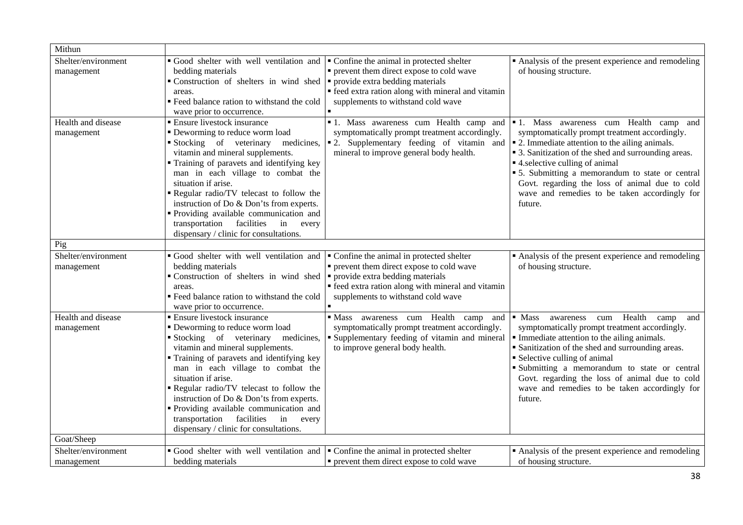| Mithun                                                  |                                                                                                                                                                                                                                                                                                                                                                                                                                                                                     |                                                                                                                                                                                                                                           |                                                                                                                                                                                                                                                                                                                                                                                                       |
|---------------------------------------------------------|-------------------------------------------------------------------------------------------------------------------------------------------------------------------------------------------------------------------------------------------------------------------------------------------------------------------------------------------------------------------------------------------------------------------------------------------------------------------------------------|-------------------------------------------------------------------------------------------------------------------------------------------------------------------------------------------------------------------------------------------|-------------------------------------------------------------------------------------------------------------------------------------------------------------------------------------------------------------------------------------------------------------------------------------------------------------------------------------------------------------------------------------------------------|
| Shelter/environment<br>management<br>Health and disease | • Good shelter with well ventilation and • Confine the animal in protected shelter<br>bedding materials<br>• Construction of shelters in wind shed $\bullet$ provide extra bedding materials<br>areas.<br>" Feed balance ration to withstand the cold<br>wave prior to occurrence.<br><b>Ensure livestock insurance</b>                                                                                                                                                             | • prevent them direct expose to cold wave<br>• feed extra ration along with mineral and vitamin<br>supplements to withstand cold wave                                                                                                     | • Analysis of the present experience and remodeling<br>of housing structure.<br>• 1. Mass awareness cum Health camp and • 1. Mass awareness cum Health camp and                                                                                                                                                                                                                                       |
| management                                              | • Deworming to reduce worm load<br>Stocking of veterinary medicines,<br>vitamin and mineral supplements.<br>• Training of paravets and identifying key<br>man in each village to combat the<br>situation if arise.<br>Regular radio/TV telecast to follow the<br>instruction of Do & Don'ts from experts.<br>Providing available communication and<br>transportation facilities<br>in<br>every<br>dispensary / clinic for consultations.                                            | symptomatically prompt treatment accordingly.<br>• 2. Supplementary feeding of vitamin and<br>mineral to improve general body health.                                                                                                     | symptomatically prompt treatment accordingly.<br>• 2. Immediate attention to the ailing animals.<br>• 3. Sanitization of the shed and surrounding areas.<br>• 4. selective culling of animal<br>• 5. Submitting a memorandum to state or central<br>Govt. regarding the loss of animal due to cold<br>wave and remedies to be taken accordingly for<br>future.                                        |
| Pig                                                     |                                                                                                                                                                                                                                                                                                                                                                                                                                                                                     |                                                                                                                                                                                                                                           |                                                                                                                                                                                                                                                                                                                                                                                                       |
| Shelter/environment<br>management                       | Good shelter with well ventilation and<br>bedding materials<br>Construction of shelters in wind shed<br>areas.<br>" Feed balance ration to withstand the cold<br>wave prior to occurrence.                                                                                                                                                                                                                                                                                          | • Confine the animal in protected shelter<br>• prevent them direct expose to cold wave<br>• provide extra bedding materials<br>• feed extra ration along with mineral and vitamin<br>supplements to withstand cold wave<br>$\blacksquare$ | Analysis of the present experience and remodeling<br>of housing structure.                                                                                                                                                                                                                                                                                                                            |
| Health and disease<br>management                        | <b>Ensure livestock insurance</b><br>• Deworming to reduce worm load<br>Stocking of veterinary<br>medicines,<br>vitamin and mineral supplements.<br>Training of paravets and identifying key<br>man in each village to combat the<br>situation if arise.<br>Regular radio/TV telecast to follow the<br>instruction of Do & Don'ts from experts.<br>• Providing available communication and<br>transportation<br>facilities<br>in<br>every<br>dispensary / clinic for consultations. | Mass awareness cum Health camp<br>and<br>symptomatically prompt treatment accordingly.<br>• Supplementary feeding of vitamin and mineral<br>to improve general body health.                                                               | $-Mass$<br>cum Health<br>awareness<br>camp<br>and<br>symptomatically prompt treatment accordingly.<br>• Immediate attention to the ailing animals.<br>• Sanitization of the shed and surrounding areas.<br>• Selective culling of animal<br>Submitting a memorandum to state or central<br>Govt. regarding the loss of animal due to cold<br>wave and remedies to be taken accordingly for<br>future. |
| Goat/Sheep                                              |                                                                                                                                                                                                                                                                                                                                                                                                                                                                                     |                                                                                                                                                                                                                                           |                                                                                                                                                                                                                                                                                                                                                                                                       |
| Shelter/environment<br>management                       | Good shelter with well ventilation and $\bullet$ Confine the animal in protected shelter<br>bedding materials                                                                                                                                                                                                                                                                                                                                                                       | • prevent them direct expose to cold wave                                                                                                                                                                                                 | • Analysis of the present experience and remodeling<br>of housing structure.                                                                                                                                                                                                                                                                                                                          |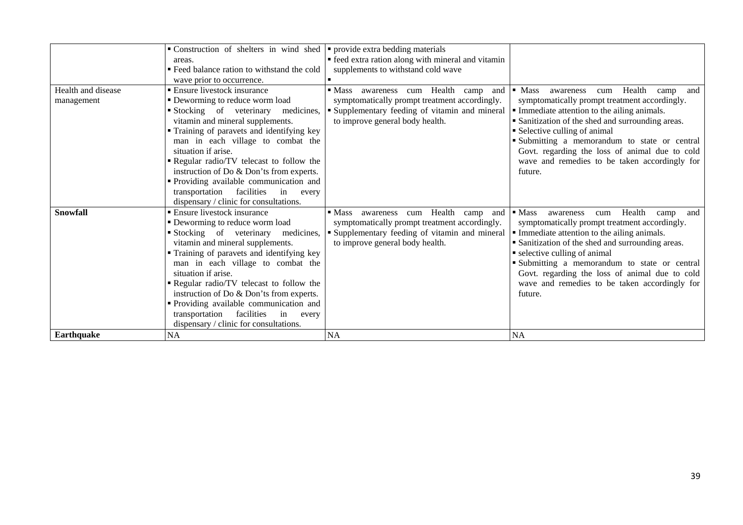|                    | Construction of shelters in wind shed       | • provide extra bedding materials                                |                                                                  |
|--------------------|---------------------------------------------|------------------------------------------------------------------|------------------------------------------------------------------|
|                    | areas.                                      | • feed extra ration along with mineral and vitamin               |                                                                  |
|                    | " Feed balance ration to withstand the cold | supplements to withstand cold wave                               |                                                                  |
|                    | wave prior to occurrence.                   |                                                                  |                                                                  |
| Health and disease | ■ Ensure livestock insurance                | $\blacksquare$ Mass<br>Health<br>awareness<br>camp<br>and<br>cum | $\blacksquare$ Mass<br>Health<br>and<br>awareness<br>cum<br>camp |
| management         | • Deworming to reduce worm load             | symptomatically prompt treatment accordingly.                    | symptomatically prompt treatment accordingly.                    |
|                    | Stocking of veterinary<br>medicines,        | • Supplementary feeding of vitamin and mineral                   | • Immediate attention to the ailing animals.                     |
|                    | vitamin and mineral supplements.            | to improve general body health.                                  | • Sanitization of the shed and surrounding areas.                |
|                    | " Training of paravets and identifying key  |                                                                  | • Selective culling of animal                                    |
|                    | man in each village to combat the           |                                                                  | Submitting a memorandum to state or central                      |
|                    | situation if arise.                         |                                                                  | Govt. regarding the loss of animal due to cold                   |
|                    | Regular radio/TV telecast to follow the     |                                                                  | wave and remedies to be taken accordingly for                    |
|                    | instruction of Do & Don'ts from experts.    |                                                                  | future.                                                          |
|                    | " Providing available communication and     |                                                                  |                                                                  |
|                    | transportation facilities<br>in every       |                                                                  |                                                                  |
|                    | dispensary / clinic for consultations.      |                                                                  |                                                                  |
| <b>Snowfall</b>    | • Ensure livestock insurance                | Health<br>$\blacksquare$ Mass<br>awareness<br>cum<br>camp<br>and | $\blacksquare$ Mass<br>Health<br>and<br>awareness<br>cum<br>camp |
|                    | • Deworming to reduce worm load             | symptomatically prompt treatment accordingly.                    | symptomatically prompt treatment accordingly.                    |
|                    | Stocking of veterinary                      | medicines, <b>F</b> Supplementary feeding of vitamin and mineral | • Immediate attention to the ailing animals.                     |
|                    | vitamin and mineral supplements.            | to improve general body health.                                  | • Sanitization of the shed and surrounding areas.                |
|                    | • Training of paravets and identifying key  |                                                                  | • selective culling of animal                                    |
|                    | man in each village to combat the           |                                                                  | Submitting a memorandum to state or central                      |
|                    | situation if arise.                         |                                                                  | Govt. regarding the loss of animal due to cold                   |
|                    | Regular radio/TV telecast to follow the     |                                                                  | wave and remedies to be taken accordingly for                    |
|                    | instruction of Do & Don'ts from experts.    |                                                                  | future.                                                          |
|                    | • Providing available communication and     |                                                                  |                                                                  |
|                    | transportation<br>facilities<br>in<br>every |                                                                  |                                                                  |
|                    | dispensary / clinic for consultations.      |                                                                  |                                                                  |
| <b>Earthquake</b>  | <b>NA</b>                                   | <b>NA</b>                                                        | <b>NA</b>                                                        |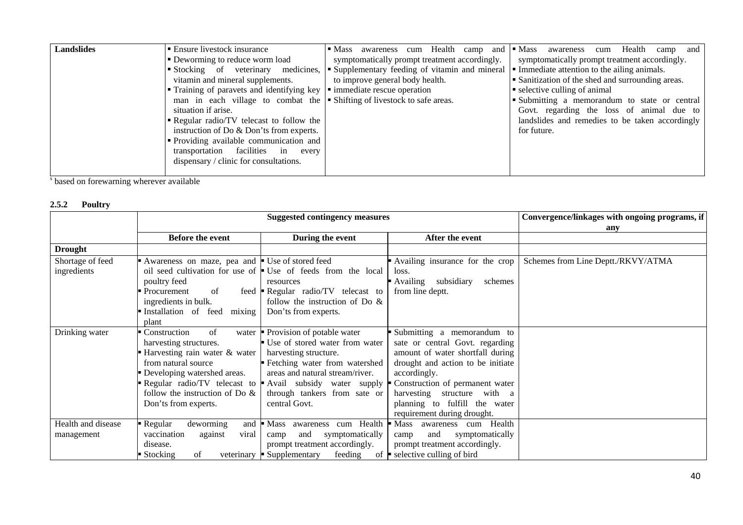| <b>Landslides</b> | ■ Ensure livestock insurance                                                                              | Health<br>• Mass awareness<br>camp and<br>cum             | $\blacksquare$ Mass<br>Health<br>and<br>awareness<br>camp<br>cum |
|-------------------|-----------------------------------------------------------------------------------------------------------|-----------------------------------------------------------|------------------------------------------------------------------|
|                   | • Deworming to reduce worm load                                                                           | symptomatically prompt treatment accordingly.             | symptomatically prompt treatment accordingly.                    |
|                   | Stocking of veterinary                                                                                    | medicines, • Supplementary feeding of vitamin and mineral | Immediate attention to the ailing animals.                       |
|                   | vitamin and mineral supplements.                                                                          | to improve general body health.                           | • Sanitization of the shed and surrounding areas.                |
|                   | <b>Training of paravets and identifying key <math>\vert \cdot \vert</math> immediate rescue operation</b> |                                                           | • selective culling of animal                                    |
|                   | man in each village to combat the $\blacktriangleright$ Shifting of livestock to safe areas.              |                                                           | • Submitting a memorandum to state or central                    |
|                   | situation if arise.                                                                                       |                                                           | Govt. regarding the loss of animal due to                        |
|                   | • Regular radio/TV telecast to follow the                                                                 |                                                           | landslides and remedies to be taken accordingly                  |
|                   | instruction of Do & Don'ts from experts.                                                                  |                                                           | for future.                                                      |
|                   | • Providing available communication and                                                                   |                                                           |                                                                  |
|                   | transportation facilities in<br>every                                                                     |                                                           |                                                                  |
|                   | dispensary / clinic for consultations.                                                                    |                                                           |                                                                  |
|                   |                                                                                                           |                                                           |                                                                  |

s based on forewarning wherever available

#### **2.5.2 Poultry**

|                                  | <b>Suggested contingency measures</b>                                                                                                                                                                                                     |                                                                                                                                                                                                                                            |                                                                                                                                                                                                                                                                                             | Convergence/linkages with ongoing programs, if<br>any |
|----------------------------------|-------------------------------------------------------------------------------------------------------------------------------------------------------------------------------------------------------------------------------------------|--------------------------------------------------------------------------------------------------------------------------------------------------------------------------------------------------------------------------------------------|---------------------------------------------------------------------------------------------------------------------------------------------------------------------------------------------------------------------------------------------------------------------------------------------|-------------------------------------------------------|
|                                  | Before the event                                                                                                                                                                                                                          | During the event                                                                                                                                                                                                                           | After the event                                                                                                                                                                                                                                                                             |                                                       |
| <b>Drought</b>                   |                                                                                                                                                                                                                                           |                                                                                                                                                                                                                                            |                                                                                                                                                                                                                                                                                             |                                                       |
| Shortage of feed<br>ingredients  | Awareness on maze, pea and Use of stored feed<br>poultry feed<br>Procurement<br>of<br>feed<br>ingredients in bulk.<br>Installation of feed<br>mixing<br>plant                                                                             | oil seed cultivation for use of $\blacksquare$ Use of feeds from the local<br>resources<br><b>• Regular radio/TV telecast to</b><br>follow the instruction of Do $\&$<br>Don'ts from experts.                                              | Availing insurance for the crop<br>loss.<br>subsidiary<br>• Availing<br>schemes<br>from line deptt.                                                                                                                                                                                         | Schemes from Line Deptt./RKVY/ATMA                    |
| Drinking water                   | Construction<br>of<br>water<br>harvesting structures.<br>Harvesting rain water & water<br>from natural source<br>Developing watershed areas.<br>Regular radio/TV telecast to<br>follow the instruction of Do $\&$<br>Don'ts from experts. | Provision of potable water<br>■ Use of stored water from water<br>harvesting structure.<br>Fetching water from watershed<br>areas and natural stream/river.<br>Avail subsidy water supply<br>through tankers from sate or<br>central Govt. | Submitting a memorandum to<br>sate or central Govt. regarding<br>amount of water shortfall during<br>drought and action to be initiate<br>accordingly.<br>Construction of permanent water<br>harvesting<br>structure with a<br>planning to fulfill the water<br>requirement during drought. |                                                       |
| Health and disease<br>management | Regular<br>deworming<br>and<br>vaccination<br>viral<br>against<br>disease.<br>$\blacksquare$ Stocking<br>of                                                                                                                               | cum Health<br><b>Mass</b><br>awareness<br>and<br>symptomatically<br>camp<br>prompt treatment accordingly.<br>feeding<br>veterinary $\blacksquare$ Supplementary                                                                            | $\blacksquare$ Mass<br>Health<br>awareness cum<br>symptomatically<br>and<br>camp<br>prompt treatment accordingly.<br>of $\blacktriangleright$ selective culling of bird                                                                                                                     |                                                       |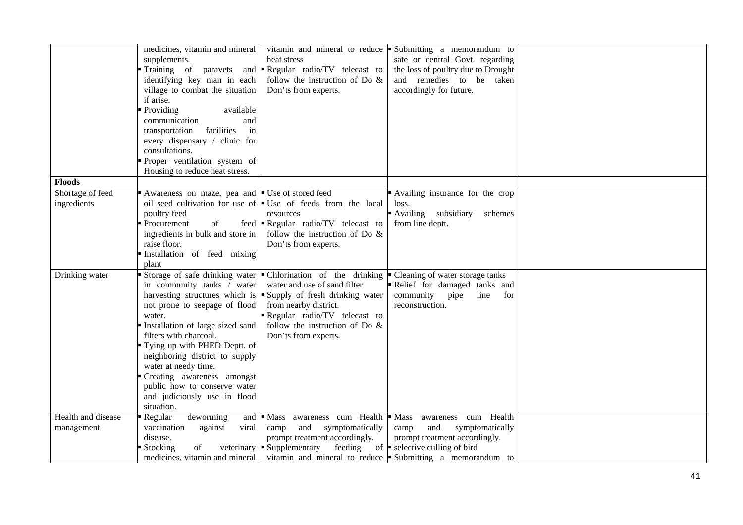|                    | medicines, vitamin and mineral     |                                                                                     | vitamin and mineral to reduce $\bullet$ Submitting a memorandum to      |  |
|--------------------|------------------------------------|-------------------------------------------------------------------------------------|-------------------------------------------------------------------------|--|
|                    | supplements.                       | heat stress                                                                         | sate or central Govt. regarding                                         |  |
|                    | Training of paravets and           | Regular radio/TV telecast to                                                        | the loss of poultry due to Drought                                      |  |
|                    | identifying key man in each        | follow the instruction of Do $\&$                                                   | and remedies to be taken                                                |  |
|                    | village to combat the situation    | Don'ts from experts.                                                                | accordingly for future.                                                 |  |
|                    | if arise.                          |                                                                                     |                                                                         |  |
|                    | Providing<br>available             |                                                                                     |                                                                         |  |
|                    | communication<br>and               |                                                                                     |                                                                         |  |
|                    | facilities<br>in<br>transportation |                                                                                     |                                                                         |  |
|                    |                                    |                                                                                     |                                                                         |  |
|                    | every dispensary / clinic for      |                                                                                     |                                                                         |  |
|                    | consultations.                     |                                                                                     |                                                                         |  |
|                    | Proper ventilation system of       |                                                                                     |                                                                         |  |
|                    | Housing to reduce heat stress.     |                                                                                     |                                                                         |  |
| <b>Floods</b>      |                                    |                                                                                     |                                                                         |  |
| Shortage of feed   | Awareness on maze, pea and         | ■ Use of stored feed                                                                | Availing insurance for the crop                                         |  |
| ingredients        |                                    | oil seed cultivation for use of <b>Use</b> of feeds from the local                  | loss.                                                                   |  |
|                    | poultry feed                       | resources                                                                           | Availing subsidiary<br>schemes                                          |  |
|                    | Procurement<br>of<br>feed          | Regular radio/TV telecast to                                                        | from line deptt.                                                        |  |
|                    | ingredients in bulk and store in   | follow the instruction of Do $\&$                                                   |                                                                         |  |
|                    | raise floor.                       | Don'ts from experts.                                                                |                                                                         |  |
|                    | Installation of feed mixing        |                                                                                     |                                                                         |  |
|                    | plant                              |                                                                                     |                                                                         |  |
| Drinking water     | Storage of safe drinking water     | • Chlorination of the drinking                                                      | • Cleaning of water storage tanks                                       |  |
|                    | in community tanks / water         | water and use of sand filter                                                        | Relief for damaged tanks and                                            |  |
|                    |                                    | harvesting structures which is $\blacktriangleright$ Supply of fresh drinking water | community<br>line<br>pipe<br>for                                        |  |
|                    | not prone to seepage of flood      | from nearby district.                                                               | reconstruction.                                                         |  |
|                    | water.                             | Regular radio/TV telecast to                                                        |                                                                         |  |
|                    |                                    |                                                                                     |                                                                         |  |
|                    | Installation of large sized sand   | follow the instruction of Do $\&$                                                   |                                                                         |  |
|                    | filters with charcoal.             | Don'ts from experts.                                                                |                                                                         |  |
|                    | Tying up with PHED Deptt. of       |                                                                                     |                                                                         |  |
|                    | neighboring district to supply     |                                                                                     |                                                                         |  |
|                    | water at needy time.               |                                                                                     |                                                                         |  |
|                    | Creating awareness amongst         |                                                                                     |                                                                         |  |
|                    | public how to conserve water       |                                                                                     |                                                                         |  |
|                    | and judiciously use in flood       |                                                                                     |                                                                         |  |
|                    | situation.                         |                                                                                     |                                                                         |  |
| Health and disease | deworming<br>Regular<br>and        | Mass awareness cum Health Mass                                                      | awareness cum Health                                                    |  |
| management         | vaccination<br>against<br>viral    | and<br>symptomatically<br>camp                                                      | and<br>symptomatically<br>camp                                          |  |
|                    | disease.                           | prompt treatment accordingly.                                                       | prompt treatment accordingly.                                           |  |
|                    | Stocking<br>of<br>veterinary       | • Supplementary<br>feeding                                                          | of $\blacktriangleright$ selective culling of bird                      |  |
|                    | medicines, vitamin and mineral     |                                                                                     | vitamin and mineral to reduce $\blacksquare$ Submitting a memorandum to |  |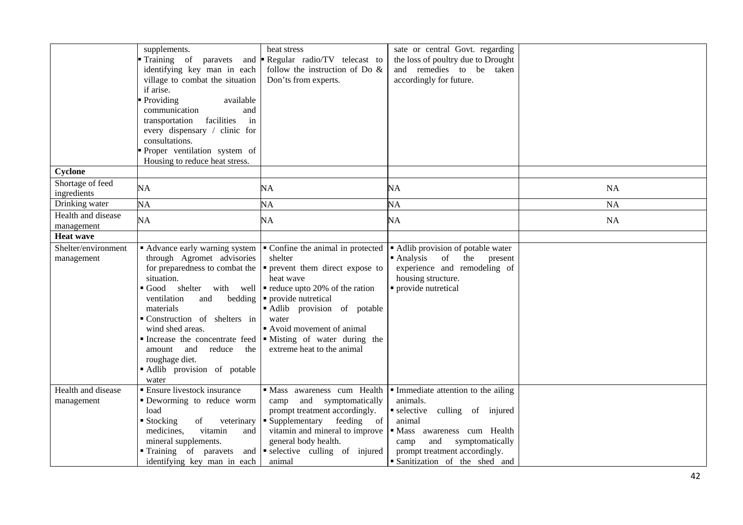|                                   | supplements.<br>Training of paravets and<br>identifying key man in each<br>village to combat the situation<br>if arise.<br>Providing<br>available<br>communication<br>and<br>facilities<br>transportation<br>in<br>every dispensary / clinic for<br>consultations.<br>Proper ventilation system of<br>Housing to reduce heat stress.                           | heat stress<br>Regular radio/TV telecast to<br>follow the instruction of Do $\&$<br>Don'ts from experts.                                                                                                                                                                                               | sate or central Govt. regarding<br>the loss of poultry due to Drought<br>and remedies to be taken<br>accordingly for future.                                                                                                                |           |
|-----------------------------------|----------------------------------------------------------------------------------------------------------------------------------------------------------------------------------------------------------------------------------------------------------------------------------------------------------------------------------------------------------------|--------------------------------------------------------------------------------------------------------------------------------------------------------------------------------------------------------------------------------------------------------------------------------------------------------|---------------------------------------------------------------------------------------------------------------------------------------------------------------------------------------------------------------------------------------------|-----------|
| Cyclone                           |                                                                                                                                                                                                                                                                                                                                                                |                                                                                                                                                                                                                                                                                                        |                                                                                                                                                                                                                                             |           |
| Shortage of feed<br>ingredients   | NA                                                                                                                                                                                                                                                                                                                                                             | NA                                                                                                                                                                                                                                                                                                     | NA                                                                                                                                                                                                                                          | <b>NA</b> |
| Drinking water                    | NA                                                                                                                                                                                                                                                                                                                                                             | NA                                                                                                                                                                                                                                                                                                     | NA                                                                                                                                                                                                                                          | NA        |
| Health and disease<br>management  | NA                                                                                                                                                                                                                                                                                                                                                             | NA                                                                                                                                                                                                                                                                                                     | NA                                                                                                                                                                                                                                          | <b>NA</b> |
| <b>Heat wave</b>                  |                                                                                                                                                                                                                                                                                                                                                                |                                                                                                                                                                                                                                                                                                        |                                                                                                                                                                                                                                             |           |
| Shelter/environment<br>management | Advance early warning system<br>through Agromet advisories<br>for preparedness to combat the<br>situation.<br>Good shelter with well<br>ventilation<br>bedding<br>and<br>materials<br>Construction of shelters in<br>wind shed areas.<br>Increase the concentrate feed<br>reduce<br>amount and<br>the<br>roughage diet.<br>Adlib provision of potable<br>water | • Confine the animal in protected<br>shelter<br>• prevent them direct expose to<br>heat wave<br>$\blacksquare$ reduce upto 20% of the ration<br>• provide nutretical<br>Adlib provision of potable<br>water<br>Avoid movement of animal<br>· Misting of water during the<br>extreme heat to the animal | • Adlib provision of potable water<br>$\blacksquare$ Analysis<br>the<br>of<br>present<br>experience and remodeling of<br>housing structure.<br>· provide nutretical                                                                         |           |
| Health and disease<br>management  | <b>Ensure livestock insurance</b><br>Deworming to reduce worm<br>load<br>■ Stocking<br>of<br>veterinary<br>medicines,<br>vitamin<br>and<br>mineral supplements.<br>Training of paravets and<br>identifying key man in each                                                                                                                                     | · Mass awareness cum Health<br>camp<br>symptomatically<br>and<br>prompt treatment accordingly.<br>• Supplementary feeding of<br>vitamin and mineral to improve<br>general body health.<br>selective culling of injured<br>animal                                                                       | Immediate attention to the ailing<br>animals.<br>$\blacksquare$ selective<br>culling of injured<br>animal<br>· Mass awareness cum Health<br>and<br>symptomatically<br>camp<br>prompt treatment accordingly.<br>Sanitization of the shed and |           |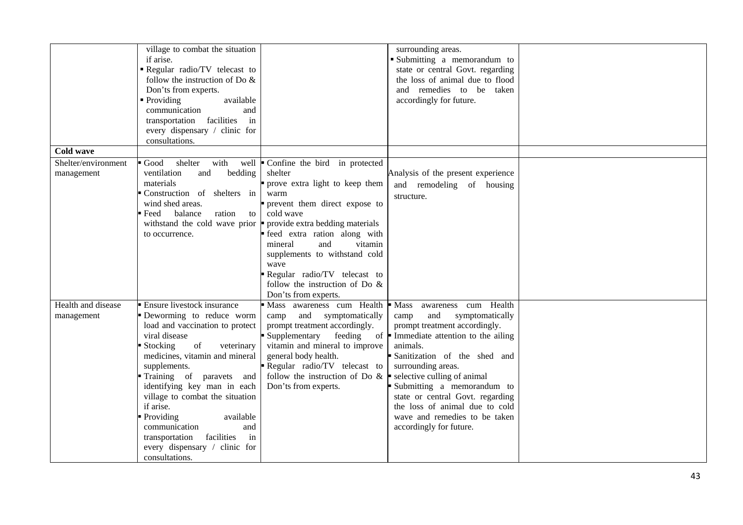|                     | village to combat the situation              |                                   | surrounding areas.                                                 |  |
|---------------------|----------------------------------------------|-----------------------------------|--------------------------------------------------------------------|--|
|                     | if arise.                                    |                                   | Submitting a memorandum to                                         |  |
|                     | Regular radio/TV telecast to                 |                                   | state or central Govt. regarding                                   |  |
|                     | follow the instruction of Do $\&$            |                                   | the loss of animal due to flood                                    |  |
|                     | Don'ts from experts.                         |                                   | and remedies to be taken                                           |  |
|                     | • Providing<br>available                     |                                   | accordingly for future.                                            |  |
|                     | communication<br>and                         |                                   |                                                                    |  |
|                     | transportation facilities<br>in              |                                   |                                                                    |  |
|                     | every dispensary / clinic for                |                                   |                                                                    |  |
|                     | consultations.                               |                                   |                                                                    |  |
| <b>Cold wave</b>    |                                              |                                   |                                                                    |  |
| Shelter/environment | Good<br>shelter<br>with<br>well              | Confine the bird in protected     |                                                                    |  |
| management          | ventilation<br>bedding<br>and                | shelter                           | Analysis of the present experience                                 |  |
|                     | materials                                    | prove extra light to keep them    | and remodeling of housing                                          |  |
|                     | Construction of shelters in                  | warm                              | structure.                                                         |  |
|                     | wind shed areas.                             | prevent them direct expose to     |                                                                    |  |
|                     | Feed<br>balance<br>ration to                 | cold wave                         |                                                                    |  |
|                     | withstand the cold wave prior                | provide extra bedding materials   |                                                                    |  |
|                     | to occurrence.                               | feed extra ration along with      |                                                                    |  |
|                     |                                              | and<br>vitamin<br>mineral         |                                                                    |  |
|                     |                                              | supplements to withstand cold     |                                                                    |  |
|                     |                                              | wave                              |                                                                    |  |
|                     |                                              | Regular radio/TV telecast to      |                                                                    |  |
|                     |                                              | follow the instruction of Do $\&$ |                                                                    |  |
|                     |                                              | Don'ts from experts.              |                                                                    |  |
| Health and disease  | Ensure livestock insurance                   |                                   | Mass awareness cum Health Mass awareness cum Health                |  |
| management          | Deworming to reduce worm                     | camp and symptomatically          | and<br>symptomatically<br>camp                                     |  |
|                     | load and vaccination to protect              | prompt treatment accordingly.     | prompt treatment accordingly.                                      |  |
|                     | viral disease                                | Supplementary<br>feeding          | of $\blacksquare$ Immediate attention to the ailing                |  |
|                     | Stocking<br>of<br>veterinary                 | vitamin and mineral to improve    | animals.                                                           |  |
|                     | medicines, vitamin and mineral               | general body health.              | Sanitization of the shed and                                       |  |
|                     | supplements.                                 | Regular radio/TV telecast to      | surrounding areas.                                                 |  |
|                     | Training of paravets and                     | follow the instruction of Do $\&$ | $\blacksquare$ selective culling of animal                         |  |
|                     | identifying key man in each                  | Don'ts from experts.              | Submitting a memorandum to                                         |  |
|                     | village to combat the situation<br>if arise. |                                   | state or central Govt. regarding<br>the loss of animal due to cold |  |
|                     | Providing<br>available                       |                                   | wave and remedies to be taken                                      |  |
|                     | communication<br>and                         |                                   | accordingly for future.                                            |  |
|                     | facilities<br>transportation<br>in           |                                   |                                                                    |  |
|                     | every dispensary / clinic for                |                                   |                                                                    |  |
|                     | consultations.                               |                                   |                                                                    |  |
|                     |                                              |                                   |                                                                    |  |